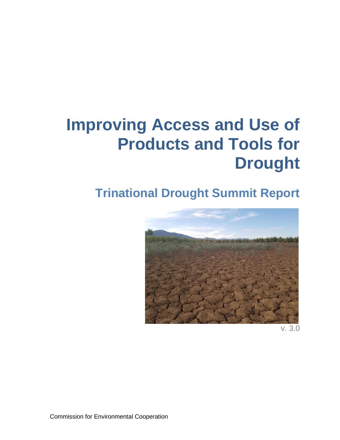# **Improving Access and Use of Products and Tools for Drought**

## **Trinational Drought Summit Report**



v. 3.0

Commission for Environmental Cooperation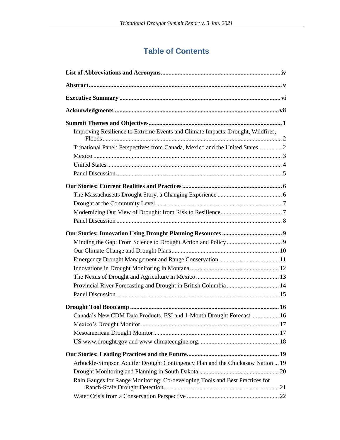## **Table of Contents**

| Improving Resilience to Extreme Events and Climate Impacts: Drought, Wildfires, |
|---------------------------------------------------------------------------------|
| Trinational Panel: Perspectives from Canada, Mexico and the United States 2     |
|                                                                                 |
|                                                                                 |
|                                                                                 |
|                                                                                 |
|                                                                                 |
|                                                                                 |
|                                                                                 |
|                                                                                 |
|                                                                                 |
|                                                                                 |
|                                                                                 |
|                                                                                 |
|                                                                                 |
|                                                                                 |
|                                                                                 |
| Provincial River Forecasting and Drought in British Columbia  14                |
|                                                                                 |
|                                                                                 |
| Canada's New CDM Data Products, ESI and 1-Month Drought Forecast  16            |
|                                                                                 |
|                                                                                 |
|                                                                                 |
|                                                                                 |
|                                                                                 |
| Arbuckle-Simpson Aquifer Drought Contingency Plan and the Chickasaw Nation  19  |
|                                                                                 |
| Rain Gauges for Range Monitoring: Co-developing Tools and Best Practices for    |
|                                                                                 |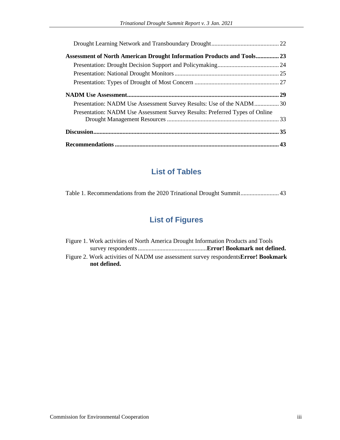| <b>Assessment of North American Drought Information Products and Tools 23</b> |  |
|-------------------------------------------------------------------------------|--|
|                                                                               |  |
|                                                                               |  |
|                                                                               |  |
|                                                                               |  |
| Presentation: NADM Use Assessment Survey Results: Use of the NADM30           |  |
| Presentation: NADM Use Assessment Survey Results: Preferred Types of Online   |  |
|                                                                               |  |
|                                                                               |  |

## **List of Tables**

Table 1. Recommendations from the 2020 Trinational Drought Summit......................... 43

## **List of Figures**

| Figure 1. Work activities of North America Drought Information Products and Tools          |  |
|--------------------------------------------------------------------------------------------|--|
|                                                                                            |  |
| Figure 2. Work activities of NADM use assessment survey respondents <b>Error! Bookmark</b> |  |
| not defined.                                                                               |  |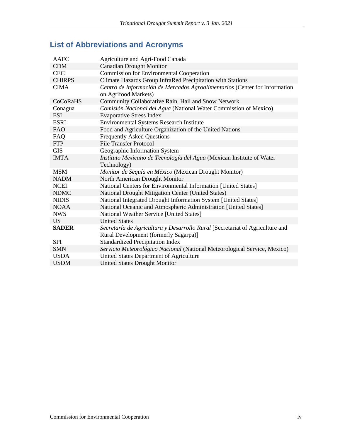## **List of Abbreviations and Acronyms**

| <b>AAFC</b>   | Agriculture and Agri-Food Canada                                                                   |
|---------------|----------------------------------------------------------------------------------------------------|
| <b>CDM</b>    | <b>Canadian Drought Monitor</b>                                                                    |
| <b>CEC</b>    | <b>Commission for Environmental Cooperation</b>                                                    |
| <b>CHIRPS</b> | Climate Hazards Group InfraRed Precipitation with Stations                                         |
| <b>CIMA</b>   | Centro de Información de Mercados Agroalimentarios (Center for Information<br>on Agrifood Markets) |
| CoCoRaHS      | Community Collaborative Rain, Hail and Snow Network                                                |
| Conagua       | Comisión Nacional del Agua (National Water Commission of Mexico)                                   |
| <b>ESI</b>    | <b>Evaporative Stress Index</b>                                                                    |
| <b>ESRI</b>   | <b>Environmental Systems Research Institute</b>                                                    |
| <b>FAO</b>    | Food and Agriculture Organization of the United Nations                                            |
| FAQ           | <b>Frequently Asked Questions</b>                                                                  |
| <b>FTP</b>    | <b>File Transfer Protocol</b>                                                                      |
| <b>GIS</b>    | Geographic Information System                                                                      |
| <b>IMTA</b>   | Instituto Mexicano de Tecnología del Agua (Mexican Institute of Water                              |
|               | Technology)                                                                                        |
| <b>MSM</b>    | Monitor de Sequía en México (Mexican Drought Monitor)                                              |
| <b>NADM</b>   | North American Drought Monitor                                                                     |
| <b>NCEI</b>   | National Centers for Environmental Information [United States]                                     |
| <b>NDMC</b>   | National Drought Mitigation Center (United States)                                                 |
| <b>NIDIS</b>  | National Integrated Drought Information System [United States]                                     |
| <b>NOAA</b>   | National Oceanic and Atmospheric Administration [United States]                                    |
| <b>NWS</b>    | National Weather Service [United States]                                                           |
| <b>US</b>     | <b>United States</b>                                                                               |
| <b>SADER</b>  | Secretaría de Agricultura y Desarrollo Rural [Secretariat of Agriculture and                       |
|               | Rural Development (formerly Sagarpa)]                                                              |
| <b>SPI</b>    | <b>Standardized Precipitation Index</b>                                                            |
| <b>SMN</b>    | Servicio Meteorológico Nacional (National Meteorological Service, Mexico)                          |
| <b>USDA</b>   | United States Department of Agriculture                                                            |
| <b>USDM</b>   | <b>United States Drought Monitor</b>                                                               |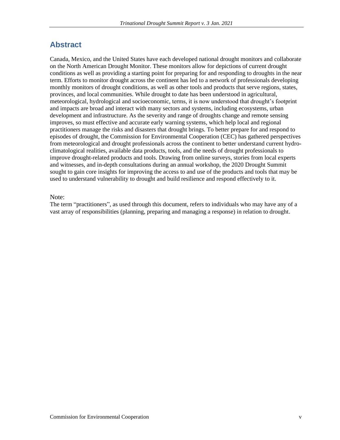## **Abstract**

Canada, Mexico, and the United States have each developed national drought monitors and collaborate on the North American Drought Monitor. These monitors allow for depictions of current drought conditions as well as providing a starting point for preparing for and responding to droughts in the near term. Efforts to monitor drought across the continent has led to a network of professionals developing monthly monitors of drought conditions, as well as other tools and products that serve regions, states, provinces, and local communities. While drought to date has been understood in agricultural, meteorological, hydrological and socioeconomic, terms, it is now understood that drought's footprint and impacts are broad and interact with many sectors and systems, including ecosystems, urban development and infrastructure. As the severity and range of droughts change and remote sensing improves, so must effective and accurate early warning systems, which help local and regional practitioners manage the risks and disasters that drought brings. To better prepare for and respond to episodes of drought, the Commission for Environmental Cooperation (CEC) has gathered perspectives from meteorological and drought professionals across the continent to better understand current hydroclimatological realities, available data products, tools, and the needs of drought professionals to improve drought-related products and tools. Drawing from online surveys, stories from local experts and witnesses, and in-depth consultations during an annual workshop, the 2020 Drought Summit sought to gain core insights for improving the access to and use of the products and tools that may be used to understand vulnerability to drought and build resilience and respond effectively to it.

## Note:

The term "practitioners", as used through this document, refers to individuals who may have any of a vast array of responsibilities (planning, preparing and managing a response) in relation to drought.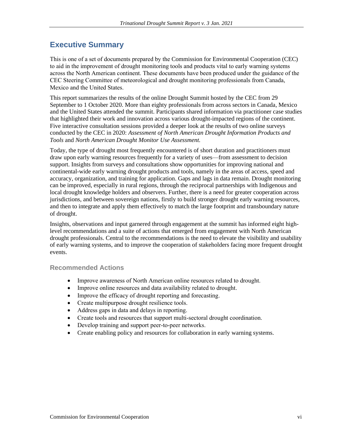## **Executive Summary**

This is one of a set of documents prepared by the Commission for Environmental Cooperation (CEC) to aid in the improvement of drought monitoring tools and products vital to early warning systems across the North American continent. These documents have been produced under the guidance of the CEC Steering Committee of meteorological and drought monitoring professionals from Canada, Mexico and the United States.

This report summarizes the results of the online Drought Summit hosted by the CEC from 29 September to 1 October 2020. More than eighty professionals from across sectors in Canada, Mexico and the United States attended the summit. Participants shared information via practitioner case studies that highlighted their work and innovation across various drought-impacted regions of the continent. Five interactive consultation sessions provided a deeper look at the results of two online surveys conducted by the CEC in 2020: *Assessment of North American Drought Information Products and Tools* and *North American Drought Monitor Use Assessment.*

Today, the type of drought most frequently encountered is of short duration and practitioners must draw upon early warning resources frequently for a variety of uses—from assessment to decision support. Insights from surveys and consultations show opportunities for improving national and continental-wide early warning drought products and tools, namely in the areas of access, speed and accuracy, organization, and training for application. Gaps and lags in data remain. Drought monitoring can be improved, especially in rural regions, through the reciprocal partnerships with Indigenous and local drought knowledge holders and observers. Further, there is a need for greater cooperation across jurisdictions, and between sovereign nations, firstly to build stronger drought early warning resources, and then to integrate and apply them effectively to match the large footprint and transboundary nature of drought.

Insights, observations and input garnered through engagement at the summit has informed eight highlevel recommendations and a suite of actions that emerged from engagement with North American drought professionals. Central to the recommendations is the need to elevate the visibility and usability of early warning systems, and to improve the cooperation of stakeholders facing more frequent drought events.

## **Recommended Actions**

- Improve awareness of North American online resources related to drought.
- Improve online resources and data availability related to drought.
- Improve the efficacy of drought reporting and forecasting.
- Create multipurpose drought resilience tools.
- Address gaps in data and delays in reporting.
- Create tools and resources that support multi-sectoral drought coordination.
- Develop training and support peer-to-peer networks.
- Create enabling policy and resources for collaboration in early warning systems.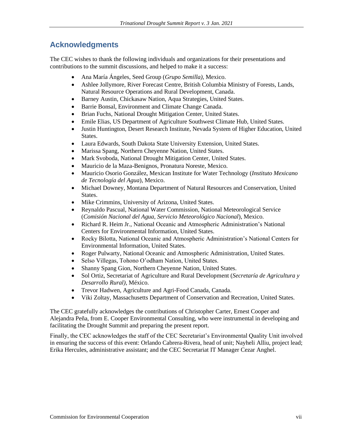## **Acknowledgments**

The CEC wishes to thank the following individuals and organizations for their presentations and contributions to the summit discussions, and helped to make it a success:

- Ana María Ángeles, Seed Group (*Grupo Semilla)*, Mexico.
- Ashlee Jollymore, River Forecast Centre, British Columbia Ministry of Forests, Lands, Natural Resource Operations and Rural Development, Canada.
- Barney Austin, Chickasaw Nation, Aqua Strategies, United States.
- Barrie Bonsal, Environment and Climate Change Canada.
- Brian Fuchs, National Drought Mitigation Center, United States.
- Emile Elias, US Department of Agriculture Southwest Climate Hub, United States.
- Justin Huntington, Desert Research Institute, Nevada System of Higher Education, United States.
- Laura Edwards, South Dakota State University Extension, United States.
- Marissa Spang, Northern Cheyenne Nation, United States.
- Mark Svoboda, National Drought Mitigation Center, United States.
- Mauricio de la Maza-Benignos, Pronatura Noreste, Mexico.
- Mauricio Osorio González, Mexican Institute for Water Technology (*Instituto Mexicano de Tecnología del Agua*), Mexico.
- Michael Downey, Montana Department of Natural Resources and Conservation, United States.
- Mike Crimmins, University of Arizona, United States.
- Reynaldo Pascual, National Water Commission, National Meteorological Service (*Comisión Nacional del Agua, Servicio Meteorológico Nacional*), Mexico.
- Richard R. Heim Jr., National Oceanic and Atmospheric Administration's National Centers for Environmental Information, United States.
- Rocky Bilotta, National Oceanic and Atmospheric Administration's National Centers for Environmental Information, United States.
- Roger Pulwarty, National Oceanic and Atmospheric Administration, United States.
- Selso Villegas, Tohono O'odham Nation, United States.
- Shanny Spang Gion, Northern Cheyenne Nation, United States.
- Sol Ortiz, Secretariat of Agriculture and Rural Development (*Secretaría de Agricultura y Desarrollo Rural)*, México.
- Trevor Hadwen, Agriculture and Agri-Food Canada, Canada.
- Viki Zoltay, Massachusetts Department of Conservation and Recreation, United States.

The CEC gratefully acknowledges the contributions of Christopher Carter, Ernest Cooper and Alejandra Peña, from E. Cooper Environmental Consulting, who were instrumental in developing and facilitating the Drought Summit and preparing the present report.

Finally, the CEC acknowledges the staff of the CEC Secretariat's Environmental Quality Unit involved in ensuring the success of this event: Orlando Cabrera-Rivera, head of unit; Nayheli Alliu, project lead; Erika Hercules, administrative assistant; and the CEC Secretariat IT Manager Cezar Anghel.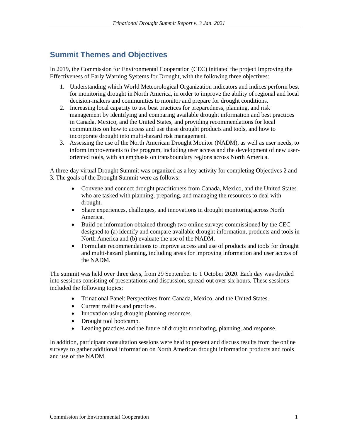## **Summit Themes and Objectives**

In 2019, the Commission for Environmental Cooperation (CEC) initiated the project Improving the Effectiveness of Early Warning Systems for Drought, with the following three objectives:

- 1. Understanding which World Meteorological Organization indicators and indices perform best for monitoring drought in North America, in order to improve the ability of regional and local decision-makers and communities to monitor and prepare for drought conditions.
- 2. Increasing local capacity to use best practices for preparedness, planning, and risk management by identifying and comparing available drought information and best practices in Canada, Mexico, and the United States, and providing recommendations for local communities on how to access and use these drought products and tools, and how to incorporate drought into multi-hazard risk management.
- 3. Assessing the use of the North American Drought Monitor (NADM), as well as user needs, to inform improvements to the program, including user access and the development of new useroriented tools, with an emphasis on transboundary regions across North America.

A three-day virtual Drought Summit was organized as a key activity for completing Objectives 2 and 3. The goals of the Drought Summit were as follows:

- Convene and connect drought practitioners from Canada, Mexico, and the United States who are tasked with planning, preparing, and managing the resources to deal with drought.
- Share experiences, challenges, and innovations in drought monitoring across North America.
- Build on information obtained through two online surveys commissioned by the CEC designed to (a) identify and compare available drought information, products and tools in North America and (b) evaluate the use of the NADM.
- Formulate recommendations to improve access and use of products and tools for drought and multi-hazard planning, including areas for improving information and user access of the NADM.

The summit was held over three days, from 29 September to 1 October 2020. Each day was divided into sessions consisting of presentations and discussion, spread-out over six hours. These sessions included the following topics:

- Trinational Panel: Perspectives from Canada, Mexico, and the United States.
- Current realities and practices.
- Innovation using drought planning resources.
- Drought tool bootcamp.
- Leading practices and the future of drought monitoring, planning, and response.

In addition, participant consultation sessions were held to present and discuss results from the online surveys to gather additional information on North American drought information products and tools and use of the NADM.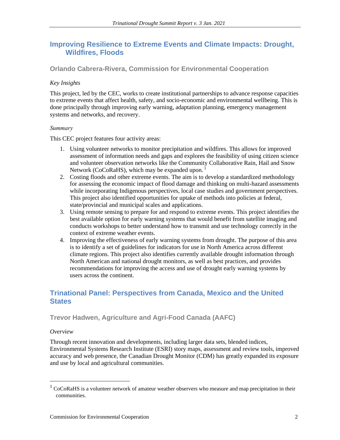## **Improving Resilience to Extreme Events and Climate Impacts: Drought, Wildfires, Floods**

**Orlando Cabrera-Rivera, Commission for Environmental Cooperation**

## *Key Insights*

This project, led by the CEC, works to create institutional partnerships to advance response capacities to extreme events that affect health, safety, and socio-economic and environmental wellbeing. This is done principally through improving early warning, adaptation planning, emergency management systems and networks, and recovery.

#### *Summary*

This CEC project features four activity areas:

- 1. Using volunteer networks to monitor precipitation and wildfires. This allows for improved assessment of information needs and gaps and explores the feasibility of using citizen science and volunteer observation networks like the Community Collaborative Rain, Hail and Snow Network (CoCoRaHS), which may be expanded upon.<sup>1</sup>
- 2. Costing floods and other extreme events. The aim is to develop a standardized methodology for assessing the economic impact of flood damage and thinking on multi-hazard assessments while incorporating Indigenous perspectives, local case studies and government perspectives. This project also identified opportunities for uptake of methods into policies at federal, state/provincial and municipal scales and applications.
- 3. Using remote sensing to prepare for and respond to extreme events. This project identifies the best available option for early warning systems that would benefit from satellite imaging and conducts workshops to better understand how to transmit and use technology correctly in the context of extreme weather events.
- 4. Improving the effectiveness of early warning systems from drought. The purpose of this area is to identify a set of guidelines for indicators for use in North America across different climate regions. This project also identifies currently available drought information through North American and national drought monitors, as well as best practices, and provides recommendations for improving the access and use of drought early warning systems by users across the continent.

## **Trinational Panel: Perspectives from Canada, Mexico and the United States**

## **Trevor Hadwen, Agriculture and Agri-Food Canada (AAFC)**

## *Overview*

Through recent innovation and developments, including larger data sets, blended indices, Environmental Systems Research Institute (ESRI) story maps, assessment and review tools, improved accuracy and web presence, the Canadian Drought Monitor (CDM) has greatly expanded its exposure and use by local and agricultural communities.

 $1 \text{CoCoRaHS}$  is a volunteer network of amateur weather observers who measure and map precipitation in their communities.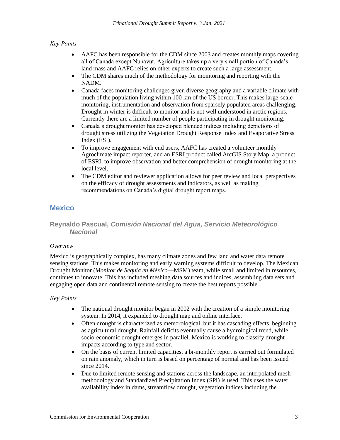## *Key Points*

- AAFC has been responsible for the CDM since 2003 and creates monthly maps covering all of Canada except Nunavut. Agriculture takes up a very small portion of Canada's land mass and AAFC relies on other experts to create such a large assessment.
- The CDM shares much of the methodology for monitoring and reporting with the NADM.
- Canada faces monitoring challenges given diverse geography and a variable climate with much of the population living within 100 km of the US border. This makes large-scale monitoring, instrumentation and observation from sparsely populated areas challenging. Drought in winter is difficult to monitor and is not well understood in arctic regions. Currently there are a limited number of people participating in drought monitoring.
- Canada's drought monitor has developed blended indices including depictions of drought stress utilizing the Vegetation Drought Response Index and Evaporative Stress Index (ESI).
- To improve engagement with end users, AAFC has created a volunteer monthly Agroclimate impact reporter, and an ESRI product called ArcGIS Story Map, a product of ESRI, to improve observation and better comprehension of drought monitoring at the local level.
- The CDM editor and reviewer application allows for peer review and local perspectives on the efficacy of drought assessments and indicators, as well as making recommendations on Canada's digital drought report maps.

## **Mexico**

## **Reynaldo Pascual,** *Comisión Nacional del Agua, Servicio Meteorológico Nacional*

#### *Overview*

Mexico is geographically complex, has many climate zones and few land and water data remote sensing stations. This makes monitoring and early warning systems difficult to develop. The Mexican Drought Monitor (*Monitor de Sequía en México*—MSM) team, while small and limited in resources, continues to innovate. This has included meshing data sources and indices, assembling data sets and engaging open data and continental remote sensing to create the best reports possible.

- The national drought monitor began in 2002 with the creation of a simple monitoring system. In 2014, it expanded to drought map and online interface.
- Often drought is characterized as meteorological, but it has cascading effects, beginning as agricultural drought. Rainfall deficits eventually cause a hydrological trend, while socio-economic drought emerges in parallel. Mexico is working to classify drought impacts according to type and sector.
- On the basis of current limited capacities, a bi-monthly report is carried out formulated on rain anomaly, which in turn is based on percentage of normal and has been issued since 2014.
- Due to limited remote sensing and stations across the landscape, an interpolated mesh methodology and Standardized Precipitation Index (SPI) is used. This uses the water availability index in dams, streamflow drought, vegetation indices including the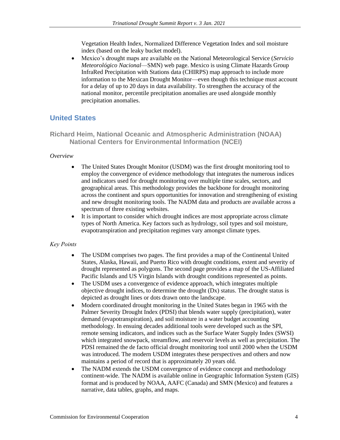Vegetation Health Index, Normalized Difference Vegetation Index and soil moisture index (based on the leaky bucket model).

• Mexico's drought maps are available on the National Meteorological Service (*Servicio Meteorológico Nacional*—SMN) web page. Mexico is using Climate Hazards Group InfraRed Precipitation with Stations data (CHIRPS) map approach to include more information to the Mexican Drought Monitor—even though this technique must account for a delay of up to 20 days in data availability. To strengthen the accuracy of the national monitor, percentile precipitation anomalies are used alongside monthly precipitation anomalies.

## **United States**

**Richard Heim, National Oceanic and Atmospheric Administration (NOAA) National Centers for Environmental Information (NCEI)**

#### *Overview*

- The United States Drought Monitor (USDM) was the first drought monitoring tool to employ the convergence of evidence methodology that integrates the numerous indices and indicators used for drought monitoring over multiple time scales, sectors, and geographical areas. This methodology provides the backbone for drought monitoring across the continent and spurs opportunities for innovation and strengthening of existing and new drought monitoring tools. The NADM data and products are available across a spectrum of three existing websites.
- It is important to consider which drought indices are most appropriate across climate types of North America. Key factors such as hydrology, soil types and soil moisture, evapotranspiration and precipitation regimes vary amongst climate types.

- The USDM comprises two pages. The first provides a map of the Continental United States, Alaska, Hawaii, and Puerto Rico with drought conditions, extent and severity of drought represented as polygons. The second page provides a map of the US-Affiliated Pacific Islands and US Virgin Islands with drought conditions represented as points.
- The USDM uses a convergence of evidence approach, which integrates multiple objective drought indices, to determine the drought (Dx) status. The drought status is depicted as drought lines or dots drawn onto the landscape.
- Modern coordinated drought monitoring in the United States began in 1965 with the Palmer Severity Drought Index (PDSI) that blends water supply (precipitation), water demand (evapotranspiration), and soil moisture in a water budget accounting methodology. In ensuing decades additional tools were developed such as the SPI, remote sensing indicators, and indices such as the Surface Water Supply Index (SWSI) which integrated snowpack, streamflow, and reservoir levels as well as precipitation. The PDSI remained the de facto official drought monitoring tool until 2000 when the USDM was introduced. The modern USDM integrates these perspectives and others and now maintains a period of record that is approximately 20 years old.
- The NADM extends the USDM convergence of evidence concept and methodology continent-wide. The NADM is available online in Geographic Information System (GIS) format and is produced by NOAA, AAFC (Canada) and SMN (Mexico) and features a narrative, data tables, graphs, and maps.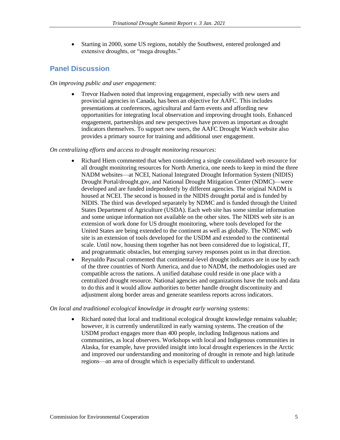• Starting in 2000, some US regions, notably the Southwest, entered prolonged and extensive droughts, or "mega droughts."

## **Panel Discussion**

### *On improving public and user engagement:*

• Trevor Hadwen noted that improving engagement, especially with new users and provincial agencies in Canada, has been an objective for AAFC. This includes presentations at conferences, agricultural and farm events and affording new opportunities for integrating local observation and improving drought tools. Enhanced engagement, partnerships and new perspectives have proven as important as drought indicators themselves. To support new users, the AAFC Drought Watch website also provides a primary source for training and additional user engagement.

#### *On centralizing efforts and access to drought monitoring resources:*

- Richard Hiem commented that when considering a single consolidated web resource for all drought monitoring resources for North America, one needs to keep in mind the three NADM websites—at NCEI, National Integrated Drought Information System (NIDIS) Drought Portal/drought.gov, and National Drought Mitigation Center (NDMC)—were developed and are funded independently by different agencies. The original NADM is housed at NCEI. The second is housed in the NIDIS drought portal and is funded by NIDIS. The third was developed separately by NDMC and is funded through the United States Department of Agriculture (USDA). Each web site has some similar information and some unique information not available on the other sites. The NIDIS web site is an extension of work done for US drought monitoring, where tools developed for the United States are being extended to the continent as well as globally. The NDMC web site is an extension of tools developed for the USDM and extended to the continental scale. Until now, housing them together has not been considered due to logistical, IT, and programmatic obstacles, but emerging survey responses point us in that direction.
- Reynaldo Pascual commented that continental-level drought indicators are in use by each of the three countries of North America, and due to NADM, the methodologies used are compatible across the nations. A unified database could reside in one place with a centralized drought resource. National agencies and organizations have the tools and data to do this and it would allow authorities to better handle drought discontinuity and adjustment along border areas and generate seamless reports across indicators.

*On local and traditional ecological knowledge in drought early warning systems:*

• Richard noted that local and traditional ecological drought knowledge remains valuable; however, it is currently underutilized in early warning systems. The creation of the USDM product engages more than 400 people, including Indigenous nations and communities, as local observers. Workshops with local and Indigenous communities in Alaska, for example, have provided insight into local drought experiences in the Arctic and improved our understanding and monitoring of drought in remote and high latitude regions—an area of drought which is especially difficult to understand.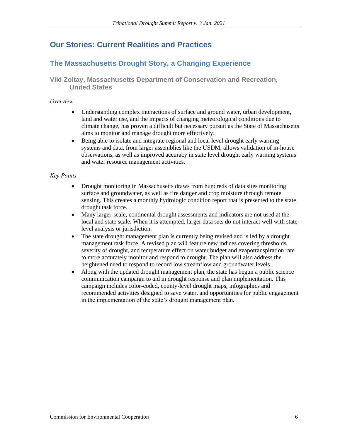## **Our Stories: Current Realities and Practices**

## **The Massachusetts Drought Story, a Changing Experience**

## **Viki Zoltay, Massachusetts Department of Conservation and Recreation, United States**

#### *Overview*

- Understanding complex interactions of surface and ground water, urban development, land and water use, and the impacts of changing meteorological conditions due to climate change, has proven a difficult but necessary pursuit as the State of Massachusetts aims to monitor and manage drought more effectively.
- Being able to isolate and integrate regional and local level drought early warning systems and data, from larger assemblies like the USDM, allows validation of in-house observations, as well as improved accuracy in state level drought early warning systems and water resource management activities.

- Drought monitoring in Massachusetts draws from hundreds of data sites monitoring surface and groundwater, as well as fire danger and crop moisture through remote sensing. This creates a monthly hydrologic condition report that is presented to the state drought task force.
- Many larger-scale, continental drought assessments and indicators are not used at the local and state scale. When it is attempted, larger data sets do not interact well with statelevel analysis or jurisdiction.
- The state drought management plan is currently being revised and is led by a drought management task force. A revised plan will feature new indices covering thresholds, severity of drought, and temperature effect on water budget and evapotranspiration rate to more accurately monitor and respond to drought. The plan will also address the heightened need to respond to record low streamflow and groundwater levels.
- Along with the updated drought management plan, the state has begun a public science communication campaign to aid in drought response and plan implementation. This campaign includes color-coded, county-level drought maps, infographics and recommended activities designed to save water, and opportunities for public engagement in the implementation of the state's drought management plan.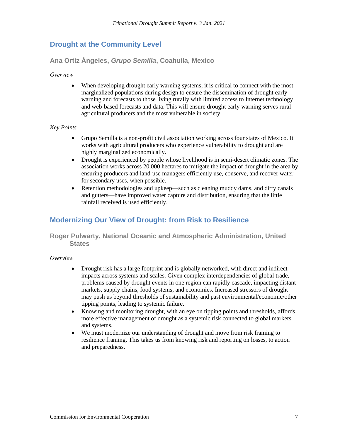## **Drought at the Community Level**

**Ana Ortiz Ángeles,** *Grupo Semilla***, Coahuila, Mexico**

*Overview*

• When developing drought early warning systems, it is critical to connect with the most marginalized populations during design to ensure the dissemination of drought early warning and forecasts to those living rurally with limited access to Internet technology and web-based forecasts and data. This will ensure drought early warning serves rural agricultural producers and the most vulnerable in society.

## *Key Points*

- Grupo Semilla is a non-profit civil association working across four states of Mexico. It works with agricultural producers who experience vulnerability to drought and are highly marginalized economically.
- Drought is experienced by people whose livelihood is in semi-desert climatic zones. The association works across 20,000 hectares to mitigate the impact of drought in the area by ensuring producers and land-use managers efficiently use, conserve, and recover water for secondary uses, when possible.
- Retention methodologies and upkeep—such as cleaning muddy dams, and dirty canals and gutters—have improved water capture and distribution, ensuring that the little rainfall received is used efficiently.

## **Modernizing Our View of Drought: from Risk to Resilience**

**Roger Pulwarty, National Oceanic and Atmospheric Administration, United States**

*Overview*

- Drought risk has a large footprint and is globally networked, with direct and indirect impacts across systems and scales. Given complex interdependencies of global trade, problems caused by drought events in one region can rapidly cascade, impacting distant markets, supply chains, food systems, and economies. Increased stressors of drought may push us beyond thresholds of sustainability and past environmental/economic/other tipping points, leading to systemic failure.
- Knowing and monitoring drought, with an eye on tipping points and thresholds, affords more effective management of drought as a systemic risk connected to global markets and systems.
- We must modernize our understanding of drought and move from risk framing to resilience framing. This takes us from knowing risk and reporting on losses, to action and preparedness.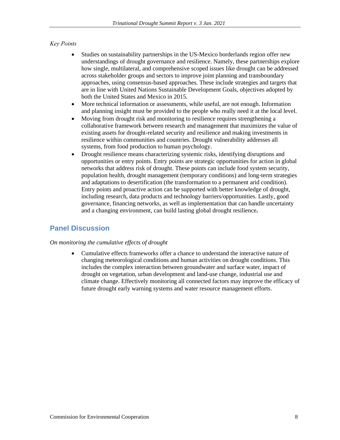## *Key Points*

- Studies on sustainability partnerships in the US-Mexico borderlands region offer new understandings of drought governance and resilience. Namely, these partnerships explore how single, multilateral, and comprehensive scoped issues like drought can be addressed across stakeholder groups and sectors to improve joint planning and transboundary approaches, using consensus-based approaches. These include strategies and targets that are in line with United Nations Sustainable Development Goals, objectives adopted by both the United States and Mexico in 2015.
- More technical information or assessments, while useful, are not enough. Information and planning insight must be provided to the people who really need it at the local level.
- Moving from drought risk and monitoring to resilience requires strengthening a collaborative framework between research and management that maximizes the value of existing assets for drought-related security and resilience and making investments in resilience within communities and countries. Drought vulnerability addresses all systems, from food production to human psychology.
- Drought resilience means characterizing systemic risks, identifying disruptions and opportunities or entry points. Entry points are strategic opportunities for action in global networks that address risk of drought. These points can include food system security, population health, drought management (temporary conditions) and long-term strategies and adaptations to desertification (the transformation to a permanent arid condition). Entry points and proactive action can be supported with better knowledge of drought, including research, data products and technology barriers/opportunities. Lastly, good governance, financing networks, as well as implementation that can handle uncertainty and a changing environment, can build lasting global drought resilience**.**

## **Panel Discussion**

#### *On monitoring the cumulative effects of drought*

• Cumulative effects frameworks offer a chance to understand the interactive nature of changing meteorological conditions and human activities on drought conditions. This includes the complex interaction between groundwater and surface water, impact of drought on vegetation, urban development and land-use change, industrial use and climate change. Effectively monitoring all connected factors may improve the efficacy of future drought early warning systems and water resource management efforts.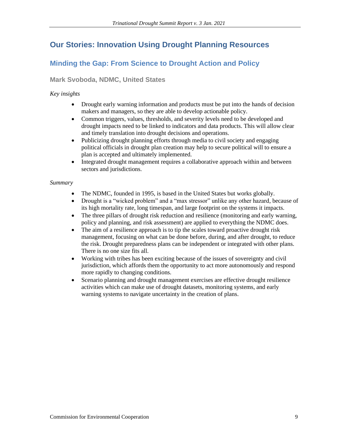## **Our Stories: Innovation Using Drought Planning Resources**

## **Minding the Gap: From Science to Drought Action and Policy**

## **Mark Svoboda, NDMC, United States**

## *Key insights*

- Drought early warning information and products must be put into the hands of decision makers and managers, so they are able to develop actionable policy.
- Common triggers, values, thresholds, and severity levels need to be developed and drought impacts need to be linked to indicators and data products. This will allow clear and timely translation into drought decisions and operations.
- Publicizing drought planning efforts through media to civil society and engaging political officials in drought plan creation may help to secure political will to ensure a plan is accepted and ultimately implemented.
- Integrated drought management requires a collaborative approach within and between sectors and jurisdictions.

#### *Summary*

- The NDMC, founded in 1995, is based in the United States but works globally.
- Drought is a "wicked problem" and a "max stressor" unlike any other hazard, because of its high mortality rate, long timespan, and large footprint on the systems it impacts.
- The three pillars of drought risk reduction and resilience (monitoring and early warning, policy and planning, and risk assessment) are applied to everything the NDMC does.
- The aim of a resilience approach is to tip the scales toward proactive drought risk management, focusing on what can be done before, during, and after drought, to reduce the risk. Drought preparedness plans can be independent or integrated with other plans. There is no one size fits all.
- Working with tribes has been exciting because of the issues of sovereignty and civil jurisdiction, which affords them the opportunity to act more autonomously and respond more rapidly to changing conditions.
- Scenario planning and drought management exercises are effective drought resilience activities which can make use of drought datasets, monitoring systems, and early warning systems to navigate uncertainty in the creation of plans.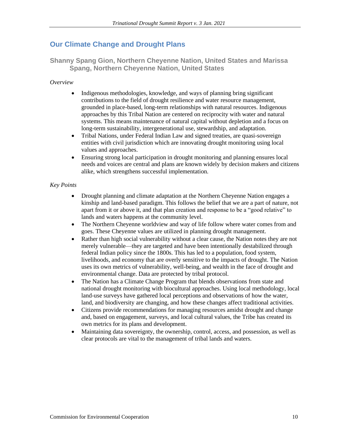## **Our Climate Change and Drought Plans**

**Shanny Spang Gion, Northern Cheyenne Nation, United States and Marissa Spang, Northern Cheyenne Nation, United States**

#### *Overview*

- Indigenous methodologies, knowledge, and ways of planning bring significant contributions to the field of drought resilience and water resource management, grounded in place-based, long-term relationships with natural resources. Indigenous approaches by this Tribal Nation are centered on reciprocity with water and natural systems. This means maintenance of natural capital without depletion and a focus on long-term sustainability, intergenerational use, stewardship, and adaptation.
- Tribal Nations, under Federal Indian Law and signed treaties, are quasi-sovereign entities with civil jurisdiction which are innovating drought monitoring using local values and approaches.
- Ensuring strong local participation in drought monitoring and planning ensures local needs and voices are central and plans are known widely by decision makers and citizens alike, which strengthens successful implementation.

- Drought planning and climate adaptation at the Northern Cheyenne Nation engages a kinship and land-based paradigm. This follows the belief that we are a part of nature, not apart from it or above it, and that plan creation and response to be a "good relative" to lands and waters happens at the community level.
- The Northern Cheyenne worldview and way of life follow where water comes from and goes. These Cheyenne values are utilized in planning drought management.
- Rather than high social vulnerability without a clear cause, the Nation notes they are not merely vulnerable—they are targeted and have been intentionally destabilized through federal Indian policy since the 1800s. This has led to a population, food system, livelihoods, and economy that are overly sensitive to the impacts of drought. The Nation uses its own metrics of vulnerability, well-being, and wealth in the face of drought and environmental change. Data are protected by tribal protocol.
- The Nation has a Climate Change Program that blends observations from state and national drought monitoring with biocultural approaches. Using local methodology, local land-use surveys have gathered local perceptions and observations of how the water, land, and biodiversity are changing, and how these changes affect traditional activities.
- Citizens provide recommendations for managing resources amidst drought and change and, based on engagement, surveys, and local cultural values, the Tribe has created its own metrics for its plans and development.
- Maintaining data sovereignty, the ownership, control, access, and possession, as well as clear protocols are vital to the management of tribal lands and waters.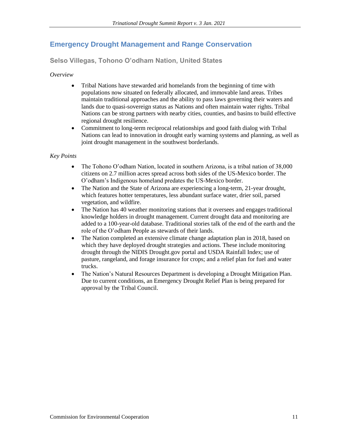## **Emergency Drought Management and Range Conservation**

**Selso Villegas, Tohono O'odham Nation, United States**

*Overview*

- Tribal Nations have stewarded arid homelands from the beginning of time with populations now situated on federally allocated, and immovable land areas. Tribes maintain traditional approaches and the ability to pass laws governing their waters and lands due to quasi-sovereign status as Nations and often maintain water rights. Tribal Nations can be strong partners with nearby cities, counties, and basins to build effective regional drought resilience.
- Commitment to long-term reciprocal relationships and good faith dialog with Tribal Nations can lead to innovation in drought early warning systems and planning, as well as joint drought management in the southwest borderlands.

- The Tohono O'odham Nation, located in southern Arizona, is a tribal nation of 38,000 citizens on 2.7 million acres spread across both sides of the US-Mexico border. The O'odham's Indigenous homeland predates the US-Mexico border.
- The Nation and the State of Arizona are experiencing a long-term, 21-year drought, which features hotter temperatures, less abundant surface water, drier soil, parsed vegetation, and wildfire.
- The Nation has 40 weather monitoring stations that it oversees and engages traditional knowledge holders in drought management. Current drought data and monitoring are added to a 100-year-old database. Traditional stories talk of the end of the earth and the role of the O'odham People as stewards of their lands.
- The Nation completed an extensive climate change adaptation plan in 2018, based on which they have deployed drought strategies and actions. These include monitoring drought through the NIDIS Drought.gov portal and USDA Rainfall Index; use of pasture, rangeland, and forage insurance for crops; and a relief plan for fuel and water trucks.
- The Nation's Natural Resources Department is developing a Drought Mitigation Plan. Due to current conditions, an Emergency Drought Relief Plan is being prepared for approval by the Tribal Council.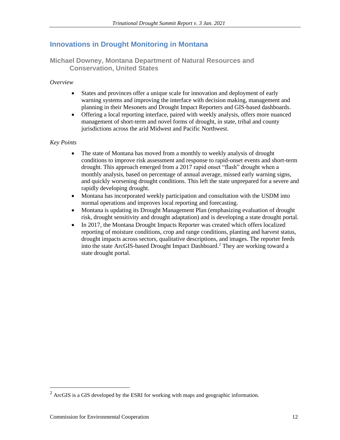## **Innovations in Drought Monitoring in Montana**

**Michael Downey, Montana Department of Natural Resources and Conservation, United States**

#### *Overview*

- States and provinces offer a unique scale for innovation and deployment of early warning systems and improving the interface with decision making, management and planning in their Mesonets and Drought Impact Reporters and GIS-based dashboards.
- Offering a local reporting interface, paired with weekly analysis, offers more nuanced management of short-term and novel forms of drought, in state, tribal and county jurisdictions across the arid Midwest and Pacific Northwest.

- The state of Montana has moved from a monthly to weekly analysis of drought conditions to improve risk assessment and response to rapid-onset events and short-term drought. This approach emerged from a 2017 rapid onset "flash" drought when a monthly analysis, based on percentage of annual average, missed early warning signs, and quickly worsening drought conditions. This left the state unprepared for a severe and rapidly developing drought.
- Montana has incorporated weekly participation and consultation with the USDM into normal operations and improves local reporting and forecasting.
- Montana is updating its Drought Management Plan (emphasizing evaluation of drought risk, drought sensitivity and drought adaptation) and is developing a state drought portal.
- In 2017, the Montana Drought Impacts Reporter was created which offers localized reporting of moisture conditions, crop and range conditions, planting and harvest status, drought impacts across sectors, qualitative descriptions, and images. The reporter feeds into the state ArcGIS-based Drought Impact Dashboard.<sup>2</sup> They are working toward a state drought portal.

 $2$  ArcGIS is a GIS developed by the ESRI for working with maps and geographic information.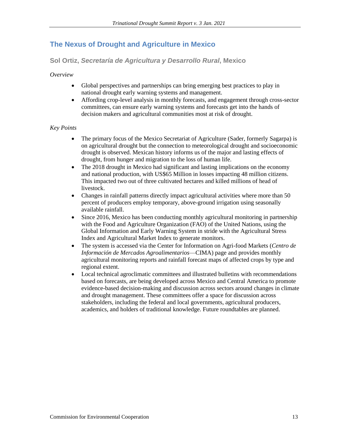## **The Nexus of Drought and Agriculture in Mexico**

**Sol Ortiz,** *Secretaría de Agricultura y Desarrollo Rural***, Mexico**

*Overview*

- Global perspectives and partnerships can bring emerging best practices to play in national drought early warning systems and management.
- Affording crop-level analysis in monthly forecasts, and engagement through cross-sector committees, can ensure early warning systems and forecasts get into the hands of decision makers and agricultural communities most at risk of drought.

- The primary focus of the Mexico Secretariat of Agriculture (Sader, formerly Sagarpa) is on agricultural drought but the connection to meteorological drought and socioeconomic drought is observed. Mexican history informs us of the major and lasting effects of drought, from hunger and migration to the loss of human life.
- The 2018 drought in Mexico had significant and lasting implications on the economy and national production, with US\$65 Million in losses impacting 48 million citizens. This impacted two out of three cultivated hectares and killed millions of head of livestock.
- Changes in rainfall patterns directly impact agricultural activities where more than 50 percent of producers employ temporary, above-ground irrigation using seasonally available rainfall.
- Since 2016, Mexico has been conducting monthly agricultural monitoring in partnership with the Food and Agriculture Organization (FAO) of the United Nations, using the Global Information and Early Warning System in stride with the Agricultural Stress Index and Agricultural Market Index to generate monitors.
- The system is accessed via the Center for Information on Agri-food Markets (*Centro de Información de Mercados Agroalimentarios*—CIMA) page and provides monthly agricultural monitoring reports and rainfall forecast maps of affected crops by type and regional extent.
- Local technical agroclimatic committees and illustrated bulletins with recommendations based on forecasts, are being developed across Mexico and Central America to promote evidence-based decision-making and discussion across sectors around changes in climate and drought management. These committees offer a space for discussion across stakeholders, including the federal and local governments, agricultural producers, academics, and holders of traditional knowledge. Future roundtables are planned.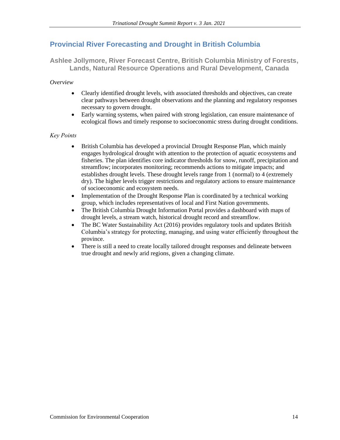## **Provincial River Forecasting and Drought in British Columbia**

**Ashlee Jollymore, River Forecast Centre, British Columbia Ministry of Forests, Lands, Natural Resource Operations and Rural Development, Canada**

*Overview*

- Clearly identified drought levels, with associated thresholds and objectives, can create clear pathways between drought observations and the planning and regulatory responses necessary to govern drought.
- Early warning systems, when paired with strong legislation, can ensure maintenance of ecological flows and timely response to socioeconomic stress during drought conditions.

- British Columbia has developed a provincial Drought Response Plan, which mainly engages hydrological drought with attention to the protection of aquatic ecosystems and fisheries. The plan identifies core indicator thresholds for snow, runoff, precipitation and streamflow; incorporates monitoring; recommends actions to mitigate impacts; and establishes drought levels. These drought levels range from 1 (normal) to 4 (extremely dry). The higher levels trigger restrictions and regulatory actions to ensure maintenance of socioeconomic and ecosystem needs.
- Implementation of the Drought Response Plan is coordinated by a technical working group, which includes representatives of local and First Nation governments.
- The British Columbia Drought Information Portal provides a dashboard with maps of drought levels, a stream watch, historical drought record and streamflow.
- The BC Water Sustainability Act (2016) provides regulatory tools and updates British Columbia's strategy for protecting, managing, and using water efficiently throughout the province.
- There is still a need to create locally tailored drought responses and delineate between true drought and newly arid regions, given a changing climate.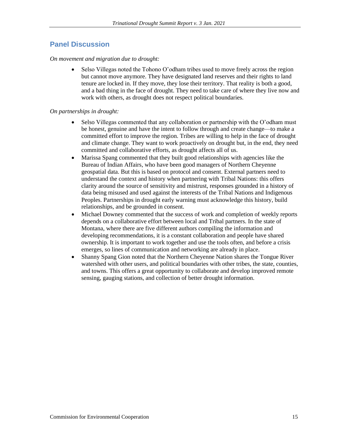## **Panel Discussion**

#### *On movement and migration due to drought:*

• Selso Villegas noted the Tohono O'odham tribes used to move freely across the region but cannot move anymore. They have designated land reserves and their rights to land tenure are locked in. If they move, they lose their territory. That reality is both a good, and a bad thing in the face of drought. They need to take care of where they live now and work with others, as drought does not respect political boundaries.

#### *On partnerships in drought:*

- Selso Villegas commented that any collaboration or partnership with the O'odham must be honest, genuine and have the intent to follow through and create change—to make a committed effort to improve the region. Tribes are willing to help in the face of drought and climate change. They want to work proactively on drought but, in the end, they need committed and collaborative efforts, as drought affects all of us.
- Marissa Spang commented that they built good relationships with agencies like the Bureau of Indian Affairs, who have been good managers of Northern Cheyenne geospatial data. But this is based on protocol and consent. External partners need to understand the context and history when partnering with Tribal Nations: this offers clarity around the source of sensitivity and mistrust, responses grounded in a history of data being misused and used against the interests of the Tribal Nations and Indigenous Peoples. Partnerships in drought early warning must acknowledge this history, build relationships, and be grounded in consent.
- Michael Downey commented that the success of work and completion of weekly reports depends on a collaborative effort between local and Tribal partners. In the state of Montana, where there are five different authors compiling the information and developing recommendations, it is a constant collaboration and people have shared ownership. It is important to work together and use the tools often, and before a crisis emerges, so lines of communication and networking are already in place.
- Shanny Spang Gion noted that the Northern Cheyenne Nation shares the Tongue River watershed with other users, and political boundaries with other tribes, the state, counties, and towns. This offers a great opportunity to collaborate and develop improved remote sensing, gauging stations, and collection of better drought information.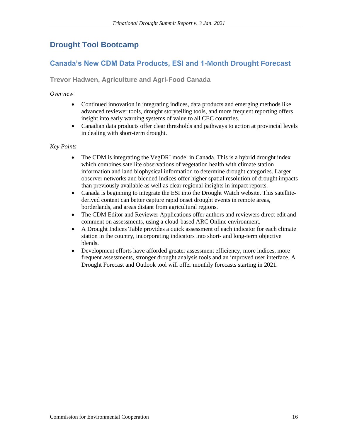## **Drought Tool Bootcamp**

## **Canada's New CDM Data Products, ESI and 1-Month Drought Forecast**

**Trevor Hadwen, Agriculture and Agri-Food Canada**

*Overview*

- Continued innovation in integrating indices, data products and emerging methods like advanced reviewer tools, drought storytelling tools, and more frequent reporting offers insight into early warning systems of value to all CEC countries.
- Canadian data products offer clear thresholds and pathways to action at provincial levels in dealing with short-term drought.

- The CDM is integrating the VegDRI model in Canada. This is a hybrid drought index which combines satellite observations of vegetation health with climate station information and land biophysical information to determine drought categories. Larger observer networks and blended indices offer higher spatial resolution of drought impacts than previously available as well as clear regional insights in impact reports.
- Canada is beginning to integrate the ESI into the Drought Watch website. This satellitederived content can better capture rapid onset drought events in remote areas, borderlands, and areas distant from agricultural regions.
- The CDM Editor and Reviewer Applications offer authors and reviewers direct edit and comment on assessments, using a cloud-based ARC Online environment.
- A Drought Indices Table provides a quick assessment of each indicator for each climate station in the country, incorporating indicators into short- and long-term objective blends.
- Development efforts have afforded greater assessment efficiency, more indices, more frequent assessments, stronger drought analysis tools and an improved user interface. A Drought Forecast and Outlook tool will offer monthly forecasts starting in 2021.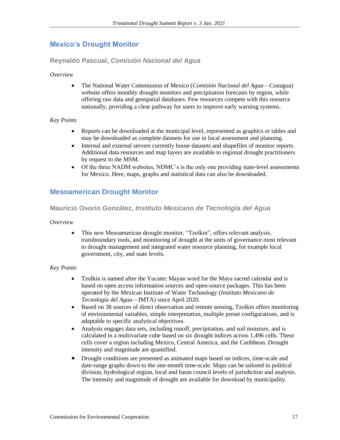## **Mexico's Drought Monitor**

## **Reynaldo Pascual,** *Comisión Nacional del Agua*

#### *Overview*

• The National Water Commission of Mexico (*Comisión Nacional del Agua*—Conagua) website offers monthly drought monitors and precipitation forecasts by region, while offering raw data and geospatial databases. Few resources compete with this resource nationally, providing a clear pathway for users to improve early warning systems.

#### *Key Points*

- Reports can be downloaded at the municipal level, represented as graphics or tables and may be downloaded as complete datasets for use in local assessment and planning.
- Internal and external servers currently house datasets and shapefiles of monitor reports. Additional data resources and map layers are available to regional drought practitioners by request to the MSM.
- Of the three NADM websites, NDMC's is the only one providing state-level assessments for Mexico. Here, maps, graphs and statistical data can also be downloaded.

## **Mesoamerican Drought Monitor**

## **Mauricio Osorio González,** *Instituto Mexicano de Tecnología del Agua*

#### *Overview*

• This new Mesoamerican drought monitor, "Tzolkin", offers relevant analysis, transboundary tools, and monitoring of drought at the units of governance most relevant to drought management and integrated water resource planning, for example local government, city, and state levels.

- Tzolkin is named after the Yucatec Mayan word for the Maya sacred calendar and is based on open access information sources and open-source packages. This has been operated by the Mexican Institute of Water Technology (*Instituto Mexicano de Tecnología del Agua*—IMTA) since April 2020.
- Based on 38 sources of direct observation and remote sensing, Tzolkin offers monitoring of environmental variables, simple interpretation, multiple preset configurations, and is adaptable to specific analytical objectives.
- Analysis engages data sets, including runoff, precipitation, and soil moisture, and is calculated in a multivariate cube based on six drought indices across 1,496 cells. These cells cover a region including Mexico, Central America, and the Caribbean. Drought intensity and magnitude are quantified.
- Drought conditions are presented as animated maps based on indices, time-scale and date-range graphs down to the one-month time-scale. Maps can be tailored to political division, hydrological region, local and basin council levels of jurisdiction and analysis. The intensity and magnitude of drought are available for download by municipality.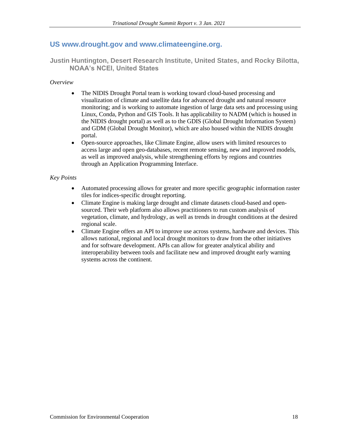## **US www.drought.gov and www.climateengine.org.**

**Justin Huntington, Desert Research Institute, United States, and Rocky Bilotta, NOAA's NCEI, United States**

#### *Overview*

- The NIDIS Drought Portal team is working toward cloud-based processing and visualization of climate and satellite data for advanced drought and natural resource monitoring; and is working to automate ingestion of large data sets and processing using Linux, Conda, Python and GIS Tools. It has applicability to NADM (which is housed in the NIDIS drought portal) as well as to the GDIS (Global Drought Information System) and GDM (Global Drought Monitor), which are also housed within the NIDIS drought portal.
- Open-source approaches, like Climate Engine, allow users with limited resources to access large and open geo-databases, recent remote sensing, new and improved models, as well as improved analysis, while strengthening efforts by regions and countries through an Application Programming Interface.

- Automated processing allows for greater and more specific geographic information raster tiles for indices-specific drought reporting.
- Climate Engine is making large drought and climate datasets cloud-based and opensourced. Their web platform also allows practitioners to run custom analysis of vegetation, climate, and hydrology, as well as trends in drought conditions at the desired regional scale.
- Climate Engine offers an API to improve use across systems, hardware and devices. This allows national, regional and local drought monitors to draw from the other initiatives and for software development. APIs can allow for greater analytical ability and interoperability between tools and facilitate new and improved drought early warning systems across the continent.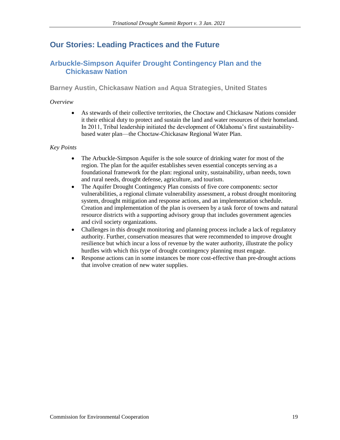## **Our Stories: Leading Practices and the Future**

## **Arbuckle-Simpson Aquifer Drought Contingency Plan and the Chickasaw Nation**

**Barney Austin, Chickasaw Nation and Aqua Strategies, United States**

### *Overview*

• As stewards of their collective territories, the Choctaw and Chickasaw Nations consider it their ethical duty to protect and sustain the land and water resources of their homeland. In 2011, Tribal leadership initiated the development of Oklahoma's first sustainabilitybased water plan—the Choctaw-Chickasaw Regional Water Plan.

- The Arbuckle-Simpson Aquifer is the sole source of drinking water for most of the region. The plan for the aquifer establishes seven essential concepts serving as a foundational framework for the plan: regional unity, sustainability, urban needs, town and rural needs, drought defense, agriculture, and tourism.
- The Aquifer Drought Contingency Plan consists of five core components: sector vulnerabilities, a regional climate vulnerability assessment, a robust drought monitoring system, drought mitigation and response actions, and an implementation schedule. Creation and implementation of the plan is overseen by a task force of towns and natural resource districts with a supporting advisory group that includes government agencies and civil society organizations.
- Challenges in this drought monitoring and planning process include a lack of regulatory authority. Further, conservation measures that were recommended to improve drought resilience but which incur a loss of revenue by the water authority, illustrate the policy hurdles with which this type of drought contingency planning must engage.
- Response actions can in some instances be more cost-effective than pre-drought actions that involve creation of new water supplies.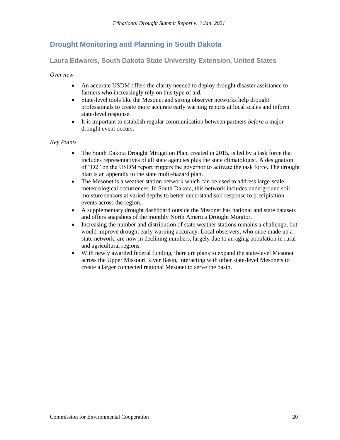## **Drought Monitoring and Planning in South Dakota**

**Laura Edwards, South Dakota State University Extension, United States** 

*Overview*

- An accurate USDM offers the clarity needed to deploy drought disaster assistance to farmers who increasingly rely on this type of aid.
- State-level tools like the Mesonet and strong observer networks help drought professionals to create more accurate early warning reports at local scales and inform state-level response.
- It is important to establish regular communication between partners *before* a major drought event occurs.

- The South Dakota Drought Mitigation Plan, created in 2015, is led by a task force that includes representatives of all state agencies plus the state climatologist. A designation of "D2" on the USDM report triggers the governor to activate the task force. The drought plan is an appendix to the state multi-hazard plan.
- The Mesonet is a weather station network which can be used to address large-scale meteorological occurrences. In South Dakota, this network includes underground soil moisture sensors at varied depths to better understand soil response to precipitation events across the region.
- A supplementary drought dashboard outside the Mesonet has national and state datasets and offers snapshots of the monthly North America Drought Monitor.
- Increasing the number and distribution of state weather stations remains a challenge, but would improve drought early warning accuracy. Local observers, who once made up a state network, are now in declining numbers, largely due to an aging population in rural and agricultural regions.
- With newly awarded federal funding, there are plans to expand the state-level Mesonet across the Upper Missouri River Basin, interacting with other state-level Mesonets to create a larger connected regional Mesonet to serve the basin.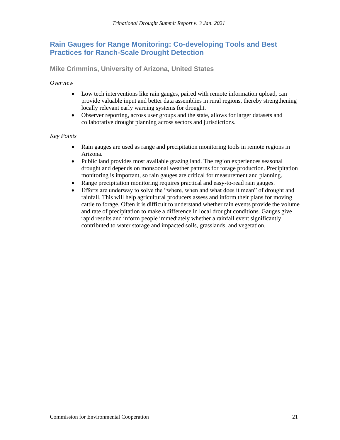## **Rain Gauges for Range Monitoring: Co-developing Tools and Best Practices for Ranch-Scale Drought Detection**

**Mike Crimmins, University of Arizona, United States**

*Overview*

- Low tech interventions like rain gauges, paired with remote information upload, can provide valuable input and better data assemblies in rural regions, thereby strengthening locally relevant early warning systems for drought.
- Observer reporting, across user groups and the state, allows for larger datasets and collaborative drought planning across sectors and jurisdictions.

- Rain gauges are used as range and precipitation monitoring tools in remote regions in Arizona.
- Public land provides most available grazing land. The region experiences seasonal drought and depends on monsoonal weather patterns for forage production. Precipitation monitoring is important, so rain gauges are critical for measurement and planning.
- Range precipitation monitoring requires practical and easy-to-read rain gauges.
- Efforts are underway to solve the "where, when and what does it mean" of drought and rainfall. This will help agricultural producers assess and inform their plans for moving cattle to forage. Often it is difficult to understand whether rain events provide the volume and rate of precipitation to make a difference in local drought conditions. Gauges give rapid results and inform people immediately whether a rainfall event significantly contributed to water storage and impacted soils, grasslands, and vegetation.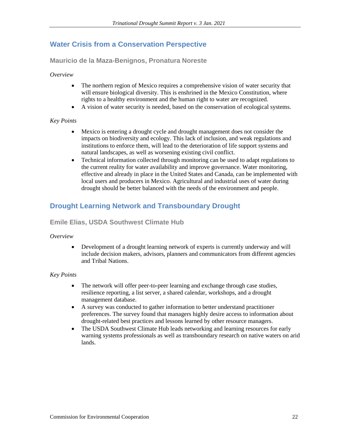## **Water Crisis from a Conservation Perspective**

**Mauricio de la Maza-Benignos, Pronatura Noreste** 

#### *Overview*

- The northern region of Mexico requires a comprehensive vision of water security that will ensure biological diversity. This is enshrined in the Mexico Constitution, where rights to a healthy environment and the human right to water are recognized.
- A vision of water security is needed, based on the conservation of ecological systems.

#### *Key Points*

- Mexico is entering a drought cycle and drought management does not consider the impacts on biodiversity and ecology. This lack of inclusion, and weak regulations and institutions to enforce them, will lead to the deterioration of life support systems and natural landscapes, as well as worsening existing civil conflict.
- Technical information collected through monitoring can be used to adapt regulations to the current reality for water availability and improve governance. Water monitoring, effective and already in place in the United States and Canada, can be implemented with local users and producers in Mexico. Agricultural and industrial uses of water during drought should be better balanced with the needs of the environment and people.

## **Drought Learning Network and Transboundary Drought**

## **Emile Elias, USDA Southwest Climate Hub**

#### *Overview*

• Development of a drought learning network of experts is currently underway and will include decision makers, advisors, planners and communicators from different agencies and Tribal Nations.

- The network will offer peer-to-peer learning and exchange through case studies, resilience reporting, a list server, a shared calendar, workshops, and a drought management database.
- A survey was conducted to gather information to better understand practitioner preferences. The survey found that managers highly desire access to information about drought-related best practices and lessons learned by other resource managers.
- The USDA Southwest Climate Hub leads networking and learning resources for early warning systems professionals as well as transboundary research on native waters on arid lands.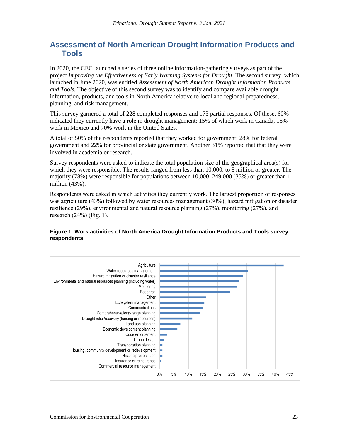## **Assessment of North American Drought Information Products and Tools**

In 2020, the CEC launched a series of three online information-gathering surveys as part of the project *Improving the Effectiveness of Early Warning Systems for Drought.* The second survey, which launched in June 2020, was entitled *Assessment of North American Drought Information Products and Tools.* The objective of this second survey was to identify and compare available drought information, products, and tools in North America relative to local and regional preparedness, planning, and risk management.

This survey garnered a total of 228 completed responses and 173 partial responses. Of these, 60% indicated they currently have a role in drought management; 15% of which work in Canada, 15% work in Mexico and 70% work in the United States.

A total of 50% of the respondents reported that they worked for government: 28% for federal government and 22% for provincial or state government. Another 31% reported that that they were involved in academia or research.

Survey respondents were asked to indicate the total population size of the geographical area(s) for which they were responsible. The results ranged from less than 10,000, to 5 million or greater. The majority (78%) were responsible for populations between 10,000–249,000 (35%) or greater than 1 million (43%).

Respondents were asked in which activities they currently work. The largest proportion of responses was agriculture (43%) followed by water resources management (30%), hazard mitigation or disaster resilience (29%), environmental and natural resource planning (27%), monitoring (27%), and research  $(24%)$  (Fig. 1).

#### **Figure 1. Work activities of North America Drought Information Products and Tools survey respondents**

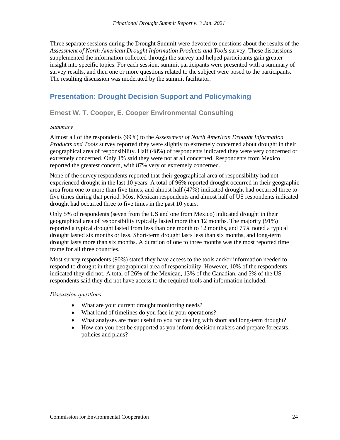Three separate sessions during the Drought Summit were devoted to questions about the results of the *Assessment of North American Drought Information Products and Tools* survey. These discussions supplemented the information collected through the survey and helped participants gain greater insight into specific topics. For each session, summit participants were presented with a summary of survey results, and then one or more questions related to the subject were posed to the participants. The resulting discussion was moderated by the summit facilitator.

## **Presentation: Drought Decision Support and Policymaking**

**Ernest W. T. Cooper, E. Cooper Environmental Consulting**

#### *Summary*

Almost all of the respondents (99%) to the *Assessment of North American Drought Information Products and Tools* survey reported they were slightly to extremely concerned about drought in their geographical area of responsibility. Half (48%) of respondents indicated they were very concerned or extremely concerned. Only 1% said they were not at all concerned. Respondents from Mexico reported the greatest concern, with 87% very or extremely concerned.

None of the survey respondents reported that their geographical area of responsibility had not experienced drought in the last 10 years. A total of 96% reported drought occurred in their geographic area from one to more than five times, and almost half (47%) indicated drought had occurred three to five times during that period. Most Mexican respondents and almost half of US respondents indicated drought had occurred three to five times in the past 10 years.

Only 5% of respondents (seven from the US and one from Mexico) indicated drought in their geographical area of responsibility typically lasted more than 12 months. The majority (91%) reported a typical drought lasted from less than one month to 12 months, and 75% noted a typical drought lasted six months or less. Short-term drought lasts less than six months, and long-term drought lasts more than six months. A duration of one to three months was the most reported time frame for all three countries.

Most survey respondents (90%) stated they have access to the tools and/or information needed to respond to drought in their geographical area of responsibility. However, 10% of the respondents indicated they did not. A total of 26% of the Mexican, 13% of the Canadian, and 5% of the US respondents said they did not have access to the required tools and information included.

#### *Discussion questions*

- What are your current drought monitoring needs?
- What kind of timelines do you face in your operations?
- What analyses are most useful to you for dealing with short and long-term drought?
- How can you best be supported as you inform decision makers and prepare forecasts, policies and plans?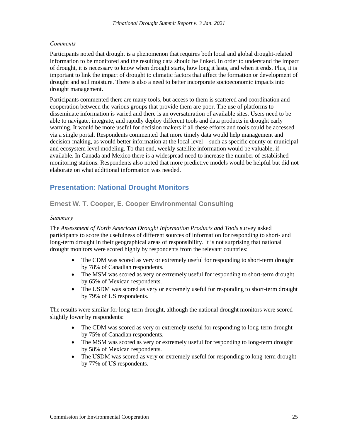#### *Comments*

Participants noted that drought is a phenomenon that requires both local and global drought-related information to be monitored and the resulting data should be linked. In order to understand the impact of drought, it is necessary to know when drought starts, how long it lasts, and when it ends. Plus, it is important to link the impact of drought to climatic factors that affect the formation or development of drought and soil moisture. There is also a need to better incorporate socioeconomic impacts into drought management.

Participants commented there are many tools, but access to them is scattered and coordination and cooperation between the various groups that provide them are poor. The use of platforms to disseminate information is varied and there is an oversaturation of available sites. Users need to be able to navigate, integrate, and rapidly deploy different tools and data products in drought early warning. It would be more useful for decision makers if all these efforts and tools could be accessed via a single portal. Respondents commented that more timely data would help management and decision-making, as would better information at the local level—such as specific county or municipal and ecosystem level modeling. To that end, weekly satellite information would be valuable, if available. In Canada and Mexico there is a widespread need to increase the number of established monitoring stations. Respondents also noted that more predictive models would be helpful but did not elaborate on what additional information was needed.

## **Presentation: National Drought Monitors**

## **Ernest W. T. Cooper, E. Cooper Environmental Consulting**

#### *Summary*

The *Assessment of North American Drought Information Products and Tools* survey asked participants to score the usefulness of different sources of information for responding to short- and long-term drought in their geographical areas of responsibility. It is not surprising that national drought monitors were scored highly by respondents from the relevant countries:

- The CDM was scored as very or extremely useful for responding to short-term drought by 78% of Canadian respondents.
- The MSM was scored as very or extremely useful for responding to short-term drought by 65% of Mexican respondents.
- The USDM was scored as very or extremely useful for responding to short-term drought by 79% of US respondents.

The results were similar for long-term drought, although the national drought monitors were scored slightly lower by respondents:

- The CDM was scored as very or extremely useful for responding to long-term drought by 75% of Canadian respondents.
- The MSM was scored as very or extremely useful for responding to long-term drought by 58% of Mexican respondents.
- The USDM was scored as very or extremely useful for responding to long-term drought by 77% of US respondents.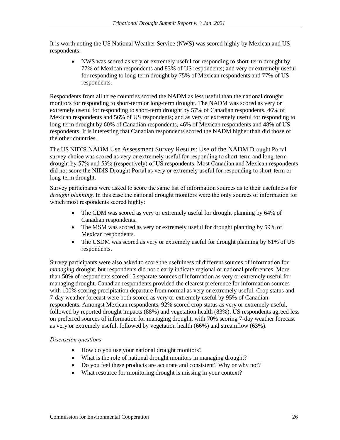It is worth noting the US National Weather Service (NWS) was scored highly by Mexican and US respondents:

• NWS was scored as very or extremely useful for responding to short-term drought by 77% of Mexican respondents and 83% of US respondents; and very or extremely useful for responding to long-term drought by 75% of Mexican respondents and 77% of US respondents.

Respondents from all three countries scored the NADM as less useful than the national drought monitors for responding to short-term or long-term drought. The NADM was scored as very or extremely useful for responding to short-term drought by 57% of Canadian respondents, 46% of Mexican respondents and 56% of US respondents; and as very or extremely useful for responding to long-term drought by 60% of Canadian respondents, 46% of Mexican respondents and 48% of US respondents. It is interesting that Canadian respondents scored the NADM higher than did those of the other countries.

The US NIDIS NADM Use Assessment Survey Results: Use of the NADM Drought Portal survey choice was scored as very or extremely useful for responding to short-term and long-term drought by 57% and 53% (respectively) of US respondents. Most Canadian and Mexican respondents did not score the NIDIS Drought Portal as very or extremely useful for responding to short-term or long-term drought.

Survey participants were asked to score the same list of information sources as to their usefulness for *drought planning*. In this case the national drought monitors were the only sources of information for which most respondents scored highly:

- The CDM was scored as very or extremely useful for drought planning by 64% of Canadian respondents.
- The MSM was scored as very or extremely useful for drought planning by 59% of Mexican respondents.
- The USDM was scored as very or extremely useful for drought planning by 61% of US respondents.

Survey participants were also asked to score the usefulness of different sources of information for *managing* drought, but respondents did not clearly indicate regional or national preferences. More than 50% of respondents scored 15 separate sources of information as very or extremely useful for managing drought. Canadian respondents provided the clearest preference for information sources with 100% scoring precipitation departure from normal as very or extremely useful. Crop status and 7-day weather forecast were both scored as very or extremely useful by 95% of Canadian respondents. Amongst Mexican respondents, 92% scored crop status as very or extremely useful, followed by reported drought impacts (88%) and vegetation health (83%). US respondents agreed less on preferred sources of information for managing drought, with 70% scoring 7-day weather forecast as very or extremely useful, followed by vegetation health (66%) and streamflow (63%).

## *Discussion questions*

- How do you use your national drought monitors?
- What is the role of national drought monitors in managing drought?
- Do you feel these products are accurate and consistent? Why or why not?
- What resource for monitoring drought is missing in your context?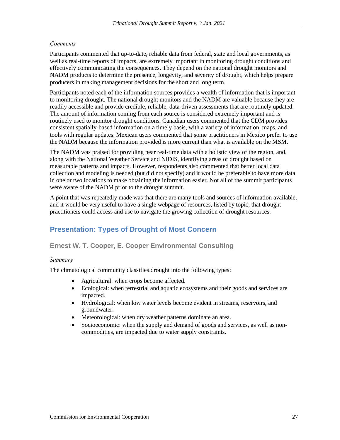#### *Comments*

Participants commented that up-to-date, reliable data from federal, state and local governments, as well as real-time reports of impacts, are extremely important in monitoring drought conditions and effectively communicating the consequences. They depend on the national drought monitors and NADM products to determine the presence, longevity, and severity of drought, which helps prepare producers in making management decisions for the short and long term.

Participants noted each of the information sources provides a wealth of information that is important to monitoring drought. The national drought monitors and the NADM are valuable because they are readily accessible and provide credible, reliable, data-driven assessments that are routinely updated. The amount of information coming from each source is considered extremely important and is routinely used to monitor drought conditions. Canadian users commented that the CDM provides consistent spatially-based information on a timely basis, with a variety of information, maps, and tools with regular updates. Mexican users commented that some practitioners in Mexico prefer to use the NADM because the information provided is more current than what is available on the MSM.

The NADM was praised for providing near real-time data with a holistic view of the region, and, along with the National Weather Service and NIDIS, identifying areas of drought based on measurable patterns and impacts. However, respondents also commented that better local data collection and modeling is needed (but did not specify) and it would be preferable to have more data in one or two locations to make obtaining the information easier. Not all of the summit participants were aware of the NADM prior to the drought summit.

A point that was repeatedly made was that there are many tools and sources of information available, and it would be very useful to have a single webpage of resources, listed by topic, that drought practitioners could access and use to navigate the growing collection of drought resources.

## **Presentation: Types of Drought of Most Concern**

## **Ernest W. T. Cooper, E. Cooper Environmental Consulting**

#### *Summary*

The climatological community classifies drought into the following types:

- Agricultural: when crops become affected.
- Ecological: when terrestrial and aquatic ecosystems and their goods and services are impacted.
- Hydrological: when low water levels become evident in streams, reservoirs, and groundwater.
- Meteorological: when dry weather patterns dominate an area.
- Socioeconomic: when the supply and demand of goods and services, as well as noncommodities, are impacted due to water supply constraints.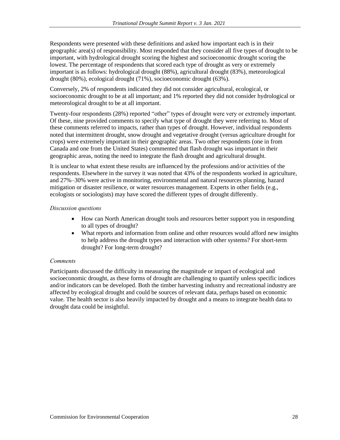Respondents were presented with these definitions and asked how important each is in their geographic area(s) of responsibility. Most responded that they consider all five types of drought to be important, with hydrological drought scoring the highest and socioeconomic drought scoring the lowest. The percentage of respondents that scored each type of drought as very or extremely important is as follows: hydrological drought (88%), agricultural drought (83%), meteorological drought (80%), ecological drought (71%), socioeconomic drought (63%).

Conversely, 2% of respondents indicated they did not consider agricultural, ecological, or socioeconomic drought to be at all important; and 1% reported they did not consider hydrological or meteorological drought to be at all important.

Twenty-four respondents (28%) reported "other" types of drought were very or extremely important. Of these, nine provided comments to specify what type of drought they were referring to. Most of these comments referred to impacts, rather than types of drought. However, individual respondents noted that intermittent drought, snow drought and vegetative drought (versus agriculture drought for crops) were extremely important in their geographic areas. Two other respondents (one in from Canada and one from the United States) commented that flash drought was important in their geographic areas, noting the need to integrate the flash drought and agricultural drought.

It is unclear to what extent these results are influenced by the professions and/or activities of the respondents. Elsewhere in the survey it was noted that 43% of the respondents worked in agriculture, and 27%–30% were active in monitoring, environmental and natural resources planning, hazard mitigation or disaster resilience, or water resources management. Experts in other fields (e.g., ecologists or sociologists) may have scored the different types of drought differently.

#### *Discussion questions*

- How can North American drought tools and resources better support you in responding to all types of drought?
- What reports and information from online and other resources would afford new insights to help address the drought types and interaction with other systems? For short-term drought? For long-term drought?

## *Comments*

Participants discussed the difficulty in measuring the magnitude or impact of ecological and socioeconomic drought, as these forms of drought are challenging to quantify unless specific indices and/or indicators can be developed. Both the timber harvesting industry and recreational industry are affected by ecological drought and could be sources of relevant data, perhaps based on economic value. The health sector is also heavily impacted by drought and a means to integrate health data to drought data could be insightful.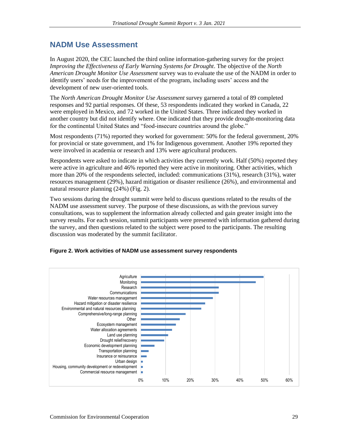## **NADM Use Assessment**

In August 2020, the CEC launched the third online information-gathering survey for the project *Improving the Effectiveness of Early Warning Systems for Drought*. The objective of the *North American Drought Monitor Use Assessment* survey was to evaluate the use of the NADM in order to identify users' needs for the improvement of the program, including users' access and the development of new user-oriented tools.

The *North American Drought Monitor Use Assessment* survey garnered a total of 89 completed responses and 92 partial responses. Of these, 53 respondents indicated they worked in Canada, 22 were employed in Mexico, and 72 worked in the United States. Three indicated they worked in another country but did not identify where. One indicated that they provide drought-monitoring data for the continental United States and "food-insecure countries around the globe."

Most respondents (71%) reported they worked for government: 50% for the federal government, 20% for provincial or state government, and 1% for Indigenous government. Another 19% reported they were involved in academia or research and 13% were agricultural producers.

Respondents were asked to indicate in which activities they currently work. Half (50%) reported they were active in agriculture and 46% reported they were active in monitoring. Other activities, which more than 20% of the respondents selected, included: communications (31%), research (31%), water resources management (29%), hazard mitigation or disaster resilience (26%), and environmental and natural resource planning (24%) (Fig. 2).

Two sessions during the drought summit were held to discuss questions related to the results of the NADM use assessment survey. The purpose of these discussions, as with the previous survey consultations, was to supplement the information already collected and gain greater insight into the survey results. For each session, summit participants were presented with information gathered during the survey, and then questions related to the subject were posed to the participants. The resulting discussion was moderated by the summit facilitator.



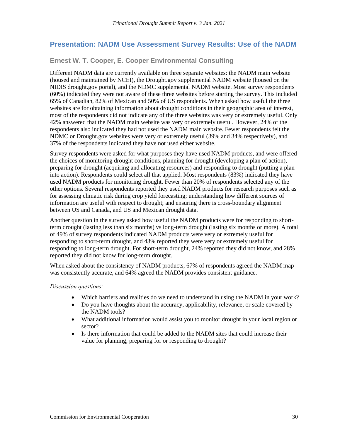## **Presentation: NADM Use Assessment Survey Results: Use of the NADM**

## **Ernest W. T. Cooper, E. Cooper Environmental Consulting**

Different NADM data are currently available on three separate websites: the NADM main website (housed and maintained by NCEI), the Drought.gov supplemental NADM website (housed on the NIDIS drought.gov portal), and the NDMC supplemental NADM website. Most survey respondents (60%) indicated they were not aware of these three websites before starting the survey. This included 65% of Canadian, 82% of Mexican and 50% of US respondents. When asked how useful the three websites are for obtaining information about drought conditions in their geographic area of interest, most of the respondents did not indicate any of the three websites was very or extremely useful. Only 42% answered that the NADM main website was very or extremely useful. However, 24% of the respondents also indicated they had not used the NADM main website. Fewer respondents felt the NDMC or Drought.gov websites were very or extremely useful (39% and 34% respectively), and 37% of the respondents indicated they have not used either website.

Survey respondents were asked for what purposes they have used NADM products, and were offered the choices of monitoring drought conditions, planning for drought (developing a plan of action), preparing for drought (acquiring and allocating resources) and responding to drought (putting a plan into action). Respondents could select all that applied. Most respondents (83%) indicated they have used NADM products for monitoring drought. Fewer than 20% of respondents selected any of the other options. Several respondents reported they used NADM products for research purposes such as for assessing climatic risk during crop yield forecasting; understanding how different sources of information are useful with respect to drought; and ensuring there is cross-boundary alignment between US and Canada, and US and Mexican drought data.

Another question in the survey asked how useful the NADM products were for responding to shortterm drought (lasting less than six months) vs long-term drought (lasting six months or more). A total of 49% of survey respondents indicated NADM products were very or extremely useful for responding to short-term drought, and 43% reported they were very or extremely useful for responding to long-term drought. For short-term drought, 24% reported they did not know, and 28% reported they did not know for long-term drought.

When asked about the consistency of NADM products, 67% of respondents agreed the NADM map was consistently accurate, and 64% agreed the NADM provides consistent guidance.

## *Discussion questions:*

- Which barriers and realities do we need to understand in using the NADM in your work?
- Do you have thoughts about the accuracy, applicability, relevance, or scale covered by the NADM tools?
- What additional information would assist you to monitor drought in your local region or sector?
- Is there information that could be added to the NADM sites that could increase their value for planning, preparing for or responding to drought?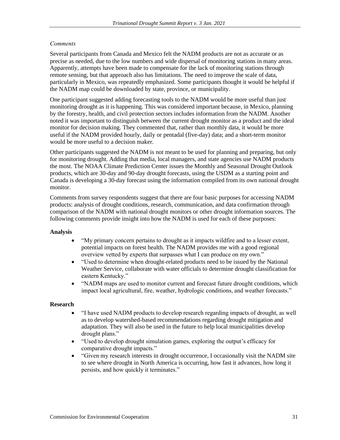#### *Comments*

Several participants from Canada and Mexico felt the NADM products are not as accurate or as precise as needed, due to the low numbers and wide dispersal of monitoring stations in many areas. Apparently, attempts have been made to compensate for the lack of monitoring stations through remote sensing, but that approach also has limitations. The need to improve the scale of data, particularly in Mexico, was repeatedly emphasized. Some participants thought it would be helpful if the NADM map could be downloaded by state, province, or municipality.

One participant suggested adding forecasting tools to the NADM would be more useful than just monitoring drought as it is happening. This was considered important because, in Mexico, planning by the forestry, health, and civil protection sectors includes information from the NADM. Another noted it was important to distinguish between the current drought monitor as a product and the ideal monitor for decision making. They commented that, rather than monthly data, it would be more useful if the NADM provided hourly, daily or pentadal (five-day) data; and a short-term monitor would be more useful to a decision maker.

Other participants suggested the NADM is not meant to be used for planning and preparing, but only for monitoring drought. Adding that media, local managers, and state agencies use NADM products the most. The NOAA Climate Prediction Center issues the Monthly and Seasonal Drought Outlook products, which are 30-day and 90-day drought forecasts, using the USDM as a starting point and Canada is developing a 30-day forecast using the information compiled from its own national drought monitor.

Comments from survey respondents suggest that there are four basic purposes for accessing NADM products: analysis of drought conditions, research, communication, and data confirmation through comparison of the NADM with national drought monitors or other drought information sources. The following comments provide insight into how the NADM is used for each of these purposes:

#### **Analysis**

- "My primary concern pertains to drought as it impacts wildfire and to a lesser extent, potential impacts on forest health. The NADM provides me with a good regional overview vetted by experts that surpasses what I can produce on my own."
- "Used to determine when drought-related products need to be issued by the National Weather Service, collaborate with water officials to determine drought classification for eastern Kentucky."
- "NADM maps are used to monitor current and forecast future drought conditions, which impact local agricultural, fire, weather, hydrologic conditions, and weather forecasts."

#### **Research**

- "I have used NADM products to develop research regarding impacts of drought, as well as to develop watershed-based recommendations regarding drought mitigation and adaptation. They will also be used in the future to help local municipalities develop drought plans."
- "Used to develop drought simulation games, exploring the output's efficacy for comparative drought impacts."
- "Given my research interests in drought occurrence, I occasionally visit the NADM site to see where drought in North America is occurring, how fast it advances, how long it persists, and how quickly it terminates."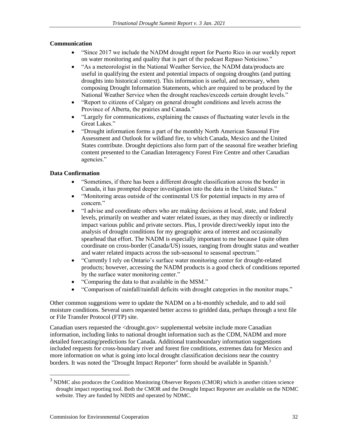#### **Communication**

- "Since 2017 we include the NADM drought report for Puerto Rico in our weekly report on water monitoring and quality that is part of the podcast Repaso Noticioso."
- "As a meteorologist in the National Weather Service, the NADM data/products are useful in qualifying the extent and potential impacts of ongoing droughts (and putting droughts into historical context). This information is useful, and necessary, when composing Drought Information Statements, which are required to be produced by the National Weather Service when the drought reaches/exceeds certain drought levels."
- "Report to citizens of Calgary on general drought conditions and levels across the Province of Alberta, the prairies and Canada."
- "Largely for communications, explaining the causes of fluctuating water levels in the Great Lakes."
- "Drought information forms a part of the monthly North American Seasonal Fire Assessment and Outlook for wildland fire, to which Canada, Mexico and the United States contribute. Drought depictions also form part of the seasonal fire weather briefing content presented to the Canadian Interagency Forest Fire Centre and other Canadian agencies."

#### **Data Confirmation**

- "Sometimes, if there has been a different drought classification across the border in Canada, it has prompted deeper investigation into the data in the United States."
- "Monitoring areas outside of the continental US for potential impacts in my area of concern."
- "I advise and coordinate others who are making decisions at local, state, and federal levels, primarily on weather and water related issues, as they may directly or indirectly impact various public and private sectors. Plus, I provide direct/weekly input into the analysis of drought conditions for my geographic area of interest and occasionally spearhead that effort. The NADM is especially important to me because I quite often coordinate on cross-border (Canada/US) issues, ranging from drought status and weather and water related impacts across the sub-seasonal to seasonal spectrum."
- "Currently I rely on Ontario's surface water monitoring center for drought-related products; however, accessing the NADM products is a good check of conditions reported by the surface water monitoring center."
- "Comparing the data to that available in the MSM."
- "Comparison of rainfall/rainfall deficits with drought categories in the monitor maps."

Other common suggestions were to update the NADM on a bi-monthly schedule, and to add soil moisture conditions. Several users requested better access to gridded data, perhaps through a text file or File Transfer Protocol (FTP) site.

Canadian users requested the <drought.gov> supplemental website include more Canadian information, including links to national drought information such as the CDM, NADM and more detailed forecasting/predictions for Canada. Additional transboundary information suggestions included requests for cross-boundary river and forest fire conditions, extremes data for Mexico and more information on what is going into local drought classification decisions near the country borders. It was noted the "Drought Impact Reporter" form should be available in Spanish.<sup>3</sup>

<sup>&</sup>lt;sup>3</sup> NDMC also produces the Condition Monitoring Observer Reports (CMOR) which is another citizen science drought impact reporting tool. Both the CMOR and the Drought Impact Reporter are available on the NDMC website. They are funded by NIDIS and operated by NDMC.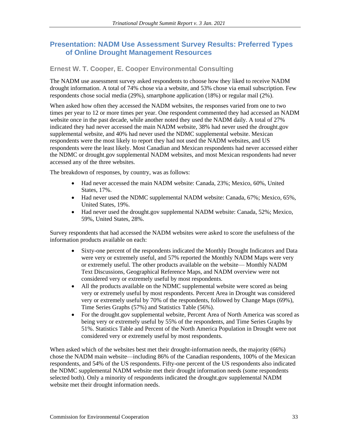## **Presentation: NADM Use Assessment Survey Results: Preferred Types of Online Drought Management Resources**

## **Ernest W. T. Cooper, E. Cooper Environmental Consulting**

The NADM use assessment survey asked respondents to choose how they liked to receive NADM drought information. A total of 74% chose via a website, and 53% chose via email subscription. Few respondents chose social media (29%), smartphone application (18%) or regular mail (2%).

When asked how often they accessed the NADM websites, the responses varied from one to two times per year to 12 or more times per year. One respondent commented they had accessed an NADM website once in the past decade, while another noted they used the NADM daily. A total of 27% indicated they had never accessed the main NADM website, 38% had never used the drought.gov supplemental website, and 40% had never used the NDMC supplemental website. Mexican respondents were the most likely to report they had not used the NADM websites, and US respondents were the least likely. Most Canadian and Mexican respondents had never accessed either the NDMC or drought.gov supplemental NADM websites, and most Mexican respondents had never accessed any of the three websites.

The breakdown of responses, by country, was as follows:

- Had never accessed the main NADM website: Canada, 23%; Mexico, 60%, United States, 17%.
- Had never used the NDMC supplemental NADM website: Canada, 67%; Mexico, 65%, United States, 19%.
- Had never used the drought.gov supplemental NADM website: Canada, 52%; Mexico, 59%, United States, 28%.

Survey respondents that had accessed the NADM websites were asked to score the usefulness of the information products available on each:

- Sixty-one percent of the respondents indicated the Monthly Drought Indicators and Data were very or extremely useful, and 57% reported the Monthly NADM Maps were very or extremely useful. The other products available on the website— Monthly NADM Text Discussions, Geographical Reference Maps, and NADM overview were not considered very or extremely useful by most respondents.
- All the products available on the NDMC supplemental website were scored as being very or extremely useful by most respondents. Percent Area in Drought was considered very or extremely useful by 70% of the respondents, followed by Change Maps (69%), Time Series Graphs (57%) and Statistics Table (56%).
- For the drought.gov supplemental website, Percent Area of North America was scored as being very or extremely useful by 55% of the respondents, and Time Series Graphs by 51%. Statistics Table and Percent of the North America Population in Drought were not considered very or extremely useful by most respondents.

When asked which of the websites best met their drought-information needs, the majority (66%) chose the NADM main website—including 86% of the Canadian respondents, 100% of the Mexican respondents, and 54% of the US respondents. Fifty-one percent of the US respondents also indicated the NDMC supplemental NADM website met their drought information needs (some respondents selected both). Only a minority of respondents indicated the drought.gov supplemental NADM website met their drought information needs.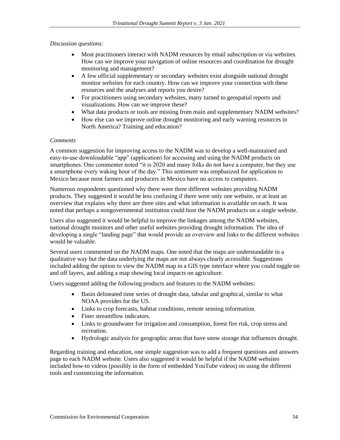#### *Discussion questions:*

- Most practitioners interact with NADM resources by email subscription or via websites. How can we improve your navigation of online resources and coordination for drought monitoring and management?
- A few official supplementary or secondary websites exist alongside national drought monitor websites for each country. How can we improve your connection with these resources and the analyses and reports you desire?
- For practitioners using secondary websites, many turned to geospatial reports and visualizations. How can we improve these?
- What data products or tools are missing from main and supplementary NADM websites?
- How else can we improve online drought monitoring and early warning resources in North America? Training and education?

#### *Comments*

A common suggestion for improving access to the NADM was to develop a well-maintained and easy-to-use downloadable "app" (application) for accessing and using the NADM products on smartphones. One commenter noted "it is 2020 and many folks do not have a computer, but they use a smartphone every waking hour of the day." This sentiment was emphasized for application to Mexico because most farmers and producers in Mexico have no access to computers.

Numerous respondents questioned why there were three different websites providing NADM products. They suggested it would be less confusing if there were only one website, or at least an overview that explains why there are three sites and what information is available on each. It was noted that perhaps a nongovernmental institution could host the NADM products on a single website.

Users also suggested it would be helpful to improve the linkages among the NADM websites, national drought monitors and other useful websites providing drought information. The idea of developing a single "landing page" that would provide an overview and links to the different websites would be valuable.

Several users commented on the NADM maps. One noted that the maps are understandable in a qualitative way but the data underlying the maps are not always clearly accessible. Suggestions included adding the option to view the NADM map in a GIS type interface where you could toggle on and off layers, and adding a map showing local impacts on agriculture.

Users suggested adding the following products and features to the NADM websites:

- Basin delineated time series of drought data, tabular and graphical, similar to what NOAA provides for the US.
- Links to crop forecasts, habitat conditions, remote sensing information.
- Finer streamflow indicators.
- Links to groundwater for irrigation and consumption, forest fire risk, crop stress and recreation.
- Hydrologic analysis for geographic areas that have snow storage that influences drought.

Regarding training and education, one simple suggestion was to add a frequent questions and answers page to each NADM website. Users also suggested it would be helpful if the NADM websites included how-to videos (possibly in the form of embedded YouTube videos) on using the different tools and customizing the information.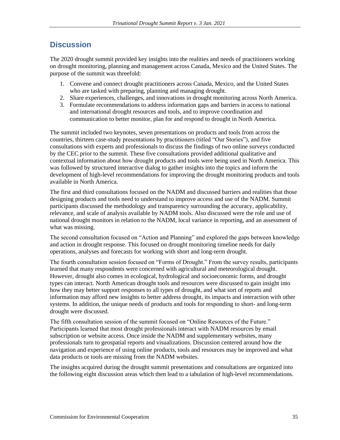## **Discussion**

The 2020 drought summit provided key insights into the realities and needs of practitioners working on drought monitoring, planning and management across Canada, Mexico and the United States. The purpose of the summit was threefold:

- 1. Convene and connect drought practitioners across Canada, Mexico, and the United States who are tasked with preparing, planning and managing drought.
- 2. Share experiences, challenges, and innovations in drought monitoring across North America.
- 3. Formulate recommendations to address information gaps and barriers in access to national and international drought resources and tools, and to improve coordination and communication to better monitor, plan for and respond to drought in North America.

The summit included two keynotes, seven presentations on products and tools from across the countries, thirteen case-study presentations by practitioners (titled "Our Stories"), and five consultations with experts and professionals to discuss the findings of two online surveys conducted by the CEC prior to the summit. These five consultations provided additional qualitative and contextual information about how drought products and tools were being used in North America. This was followed by structured interactive dialog to gather insights into the topics and inform the development of high-level recommendations for improving the drought monitoring products and tools available in North America.

The first and third consultations focused on the NADM and discussed barriers and realities that those designing products and tools need to understand to improve access and use of the NADM. Summit participants discussed the methodology and transparency surrounding the accuracy, applicability, relevance, and scale of analysis available by NADM tools. Also discussed were the role and use of national drought monitors in relation to the NADM, local variance in reporting, and an assessment of what was missing.

The second consultation focused on "Action and Planning" and explored the gaps between knowledge and action in drought response. This focused on drought monitoring timeline needs for daily operations, analyses and forecasts for working with short and long-term drought.

The fourth consultation session focused on "Forms of Drought." From the survey results, participants learned that many respondents were concerned with agricultural and meteorological drought. However, drought also comes in ecological, hydrological and socioeconomic forms, and drought types can interact. North American drought tools and resources were discussed to gain insight into how they may better support responses to all types of drought, and what sort of reports and information may afford new insights to better address drought, its impacts and interaction with other systems. In addition, the unique needs of products and tools for responding to short- and long-term drought were discussed.

The fifth consultation session of the summit focused on "Online Resources of the Future." Participants learned that most drought professionals interact with NADM resources by email subscription or website access. Once inside the NADM and supplementary websites, many professionals turn to geospatial reports and visualizations. Discussion centered around how the navigation and experience of using online products, tools and resources may be improved and what data products or tools are missing from the NADM websites.

The insights acquired during the drought summit presentations and consultations are organized into the following eight discussion areas which then lead to a tabulation of high-level recommendations.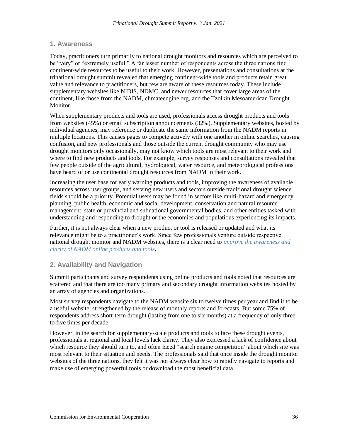### **1. Awareness**

Today, practitioners turn primarily to national drought monitors and resources which are perceived to be "very" or "extremely useful." A far lesser number of respondents across the three nations find continent-wide resources to be useful to their work. However, presentations and consultations at the trinational drought summit revealed that emerging continent-wide tools and products retain great value and relevance to practitioners, but few are aware of these resources today. These include supplementary websites like NIDIS, NDMC, and newer resources that cover large areas of the continent, like those from the NADM, climateengine.org, and the Tzolkin Mesoamerican Drought Monitor.

When supplementary products and tools are used, professionals access drought products and tools from websites (45%) or email subscription announcements (32%). Supplementary websites, hosted by individual agencies, may reference or duplicate the same information from the NADM reports in multiple locations. This causes pages to compete actively with one another in online searches, causing confusion, and new professionals and those outside the current drought community who may use drought monitors only occasionally, may not know which tools are most relevant to their work and where to find new products and tools. For example, survey responses and consultations revealed that few people outside of the agricultural, hydrological, water resource, and meteorological professions have heard of or use continental drought resources from NADM in their work.

Increasing the user base for early warning products and tools, improving the awareness of available resources across user groups, and serving new users and sectors outside traditional drought science fields should be a priority. Potential users may be found in sectors like multi-hazard and emergency planning, public health, economic and social development, conservation and natural resource management, state or provincial and subnational governmental bodies, and other entities tasked with understanding and responding to drought or the economies and populations experiencing its impacts.

Further, it is not always clear when a new product or tool is released or updated and what its relevance might be to a practitioner's work. Since few professionals venture outside respective national drought monitor and NADM websites, there is a clear need to *improve the awareness and clarity of NADM online products and tools***.** 

## **2. Availability and Navigation**

Summit participants and survey respondents using online products and tools noted that resources are scattered and that there are too many primary and secondary drought information websites hosted by an array of agencies and organizations.

Most survey respondents navigate to the NADM website six to twelve times per year and find it to be a useful website, strengthened by the release of monthly reports and forecasts. But some 75% of respondents address short-term drought (lasting from one to six months) at a frequency of only three to five times per decade.

However, in the search for supplementary-scale products and tools to face these drought events, professionals at regional and local levels lack clarity. They also expressed a lack of confidence about which resource they should turn to, and often faced "search engine competition" about which site was most relevant to their situation and needs. The professionals said that once inside the drought monitor websites of the three nations, they felt it was not always clear how to rapidly navigate to reports and make use of emerging powerful tools or download the most beneficial data.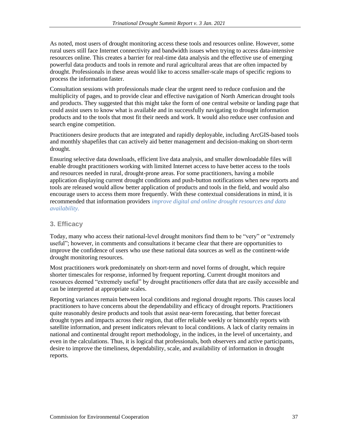As noted, most users of drought monitoring access these tools and resources online. However, some rural users still face Internet connectivity and bandwidth issues when trying to access data-intensive resources online. This creates a barrier for real-time data analysis and the effective use of emerging powerful data products and tools in remote and rural agricultural areas that are often impacted by drought. Professionals in these areas would like to access smaller-scale maps of specific regions to process the information faster.

Consultation sessions with professionals made clear the urgent need to reduce confusion and the multiplicity of pages, and to provide clear and effective navigation of North American drought tools and products. They suggested that this might take the form of one central website or landing page that could assist users to know what is available and in successfully navigating to drought information products and to the tools that most fit their needs and work. It would also reduce user confusion and search engine competition.

Practitioners desire products that are integrated and rapidly deployable, including ArcGIS-based tools and monthly shapefiles that can actively aid better management and decision-making on short-term drought.

Ensuring selective data downloads, efficient live data analysis, and smaller downloadable files will enable drought practitioners working with limited Internet access to have better access to the tools and resources needed in rural, drought-prone areas. For some practitioners, having a mobile application displaying current drought conditions and push-button notifications when new reports and tools are released would allow better application of products and tools in the field, and would also encourage users to access them more frequently. With these contextual considerations in mind, it is recommended that information providers *improve digital and online drought resources and data availability.*

## **3. Efficacy**

Today, many who access their national-level drought monitors find them to be "very" or "extremely useful"; however, in comments and consultations it became clear that there are opportunities to improve the confidence of users who use these national data sources as well as the continent-wide drought monitoring resources.

Most practitioners work predominately on short-term and novel forms of drought, which require shorter timescales for response, informed by frequent reporting. Current drought monitors and resources deemed "extremely useful" by drought practitioners offer data that are easily accessible and can be interpreted at appropriate scales.

Reporting variances remain between local conditions and regional drought reports. This causes local practitioners to have concerns about the dependability and efficacy of drought reports. Practitioners quite reasonably desire products and tools that assist near-term forecasting, that better forecast drought types and impacts across their region, that offer reliable weekly or bimonthly reports with satellite information, and present indicators relevant to local conditions. A lack of clarity remains in national and continental drought report methodology, in the indices, in the level of uncertainty, and even in the calculations. Thus, it is logical that professionals, both observers and active participants, desire to improve the timeliness, dependability, scale, and availability of information in drought reports.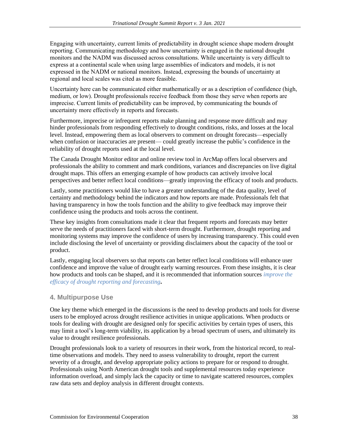Engaging with uncertainty, current limits of predictability in drought science shape modern drought reporting. Communicating methodology and how uncertainty is engaged in the national drought monitors and the NADM was discussed across consultations. While uncertainty is very difficult to express at a continental scale when using large assemblies of indicators and models, it is not expressed in the NADM or national monitors. Instead, expressing the bounds of uncertainty at regional and local scales was cited as more feasible.

Uncertainty here can be communicated either mathematically or as a description of confidence (high, medium, or low). Drought professionals receive feedback from those they serve when reports are imprecise. Current limits of predictability can be improved, by communicating the bounds of uncertainty more effectively in reports and forecasts.

Furthermore, imprecise or infrequent reports make planning and response more difficult and may hinder professionals from responding effectively to drought conditions, risks, and losses at the local level. Instead, empowering them as local observers to comment on drought forecasts—especially when confusion or inaccuracies are present— could greatly increase the public's confidence in the reliability of drought reports used at the local level.

The Canada Drought Monitor editor and online review tool in ArcMap offers local observers and professionals the ability to comment and mark conditions, variances and discrepancies on live digital drought maps. This offers an emerging example of how products can actively involve local perspectives and better reflect local conditions—greatly improving the efficacy of tools and products.

Lastly, some practitioners would like to have a greater understanding of the data quality, level of certainty and methodology behind the indicators and how reports are made. Professionals felt that having transparency in how the tools function and the ability to give feedback may improve their confidence using the products and tools across the continent.

These key insights from consultations made it clear that frequent reports and forecasts may better serve the needs of practitioners faced with short-term drought. Furthermore, drought reporting and monitoring systems may improve the confidence of users by increasing transparency. This could even include disclosing the level of uncertainty or providing disclaimers about the capacity of the tool or product.

Lastly, engaging local observers so that reports can better reflect local conditions will enhance user confidence and improve the value of drought early warning resources. From these insights, it is clear how products and tools can be shaped, and it is recommended that information sources *improve the efficacy of drought reporting and forecasting***.** 

## **4. Multipurpose Use**

One key theme which emerged in the discussions is the need to develop products and tools for diverse users to be employed across drought resilience activities in unique applications. When products or tools for dealing with drought are designed only for specific activities by certain types of users, this may limit a tool's long-term viability, its application by a broad spectrum of users, and ultimately its value to drought resilience professionals.

Drought professionals look to a variety of resources in their work, from the historical record, to realtime observations and models. They need to assess vulnerability to drought, report the current severity of a drought, and develop appropriate policy actions to prepare for or respond to drought. Professionals using North American drought tools and supplemental resources today experience information overload, and simply lack the capacity or time to navigate scattered resources, complex raw data sets and deploy analysis in different drought contexts.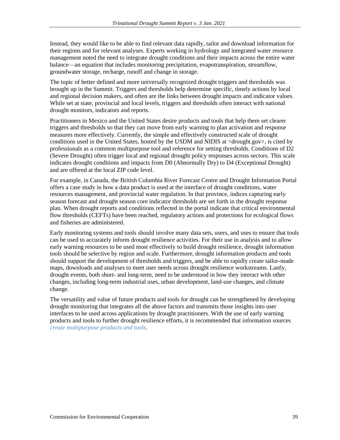Instead, they would like to be able to find relevant data rapidly, tailor and download information for their regions and for relevant analyses. Experts working in hydrology and integrated water resource management noted the need to integrate drought conditions and their impacts across the entire water balance—an equation that includes monitoring precipitation, evapotranspiration, streamflow, groundwater storage, recharge, runoff and change in storage.

The topic of better defined and more universally recognized drought triggers and thresholds was brought up in the Summit. Triggers and thresholds help determine specific, timely actions by local and regional decision makers, and often are the links between drought impacts and indicator values. While set at state, provincial and local levels, triggers and thresholds often interact with national drought monitors, indicators and reports.

Practitioners in Mexico and the United States desire products and tools that help them set clearer triggers and thresholds so that they can move from early warning to plan activation and response measures more effectively. Currently, the simple and effectively constructed scale of drought conditions used in the United States, hosted by the USDM and NIDIS at <drought.gov>, is cited by professionals as a common multipurpose tool and reference for setting thresholds. Conditions of D2 (Severe Drought) often trigger local and regional drought policy responses across sectors. This scale indicates drought conditions and impacts from D0 (Abnormally Dry) to D4 (Exceptional Drought) and are offered at the local ZIP code level.

For example, in Canada, the British Columbia River Forecast Centre and Drought Information Portal offers a case study in how a data product is used at the interface of drought conditions, water resources management, and provincial water regulation. In that province, indices capturing early season forecast and drought season core indicator thresholds are set forth in the drought response plan. When drought reports and conditions reflected in the portal indicate that critical environmental flow thresholds (CEFTs) have been reached, regulatory actions and protections for ecological flows and fisheries are administered.

Early monitoring systems and tools should involve many data sets, users, and uses to ensure that tools can be used to accurately inform drought resilience activities. For their use in analysis and to allow early warning resources to be used most effectively to build drought resilience, drought information tools should be selective by region and scale. Furthermore, drought information products and tools should support the development of thresholds and triggers, and be able to rapidly create tailor-made maps, downloads and analyses to meet user needs across drought resilience workstreams. Lastly, drought events, both short- and long-term, need to be understood in how they interact with other changes, including long-term industrial uses, urban development, land-use changes, and climate change.

The versatility and value of future products and tools for drought can be strengthened by developing drought monitoring that integrates all the above factors and transmits those insights into user interfaces to be used across applications by drought practitioners. With the use of early warning products and tools to further drought resilience efforts, it is recommended that information sources *create multipurpose products and tools*.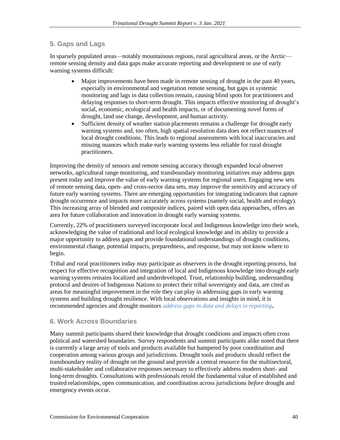## **5. Gaps and Lags**

In sparsely populated areas—notably mountainous regions, rural agricultural areas, or the Arctic remote sensing density and data gaps make accurate reporting and development or use of early warning systems difficult:

- Major improvements have been made in remote sensing of drought in the past 40 years, especially in environmental and vegetation remote sensing, but gaps in systemic monitoring and lags in data collection remain, causing blind spots for practitioners and delaying responses to short-term drought. This impacts effective monitoring of drought's social, economic, ecological and health impacts, or of documenting novel forms of drought, land use change, development, and human activity.
- Sufficient density of weather station placements remains a challenge for drought early warning systems and, too often, high spatial resolution data does not reflect nuances of local drought conditions. This leads to regional assessments with local inaccuracies and missing nuances which make early warning systems less reliable for rural drought practitioners.

Improving the density of sensors and remote sensing accuracy through expanded local observer networks, agricultural range monitoring, and transboundary monitoring initiatives may address gaps present today and improve the value of early warning systems for regional users. Engaging new sets of remote sensing data, open- and cross-sector data sets, may improve the sensitivity and accuracy of future early warning systems. There are emerging opportunities for integrating indicators that capture drought occurrence and impacts more accurately across systems (namely social, health and ecology). This increasing array of blended and composite indices, paired with open data approaches, offers an area for future collaboration and innovation in drought early warning systems.

Currently, 22% of practitioners surveyed incorporate local and Indigenous knowledge into their work, acknowledging the value of traditional and local ecological knowledge and its ability to provide a major opportunity to address gaps and provide foundational understandings of drought conditions, environmental change, potential impacts, preparedness, and response, but may not know where to begin.

Tribal and rural practitioners today may participate as observers in the drought reporting process, but respect for effective recognition and integration of local and Indigenous knowledge into drought early warning systems remains localized and underdeveloped. Trust, relationship building, understanding protocol and desires of Indigenous Nations to protect their tribal sovereignty and data, are cited as areas for meaningful improvement in the role they can play in addressing gaps in early warning systems and building drought resilience. With local observations and insights in mind, it is recommended agencies and drought monitors *address gaps in data and delays in reporting***.** 

## **6. Work Across Boundaries**

Many summit participants shared their knowledge that drought conditions and impacts often cross political and watershed boundaries. Survey respondents and summit participants alike noted that there is currently a large array of tools and products available but hampered by poor coordination and cooperation among various groups and jurisdictions. Drought tools and products should reflect the transboundary reality of drought on the ground and provide a central resource for the multisectoral, multi-stakeholder and collaborative responses necessary to effectively address modern short- and long-term droughts. Consultations with professionals retold the fundamental value of established and trusted relationships, open communication, and coordination across jurisdictions *before* drought and emergency events occur.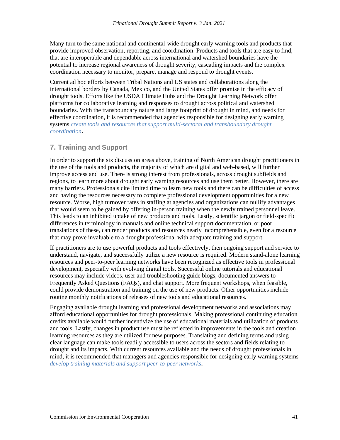Many turn to the same national and continental-wide drought early warning tools and products that provide improved observation, reporting, and coordination. Products and tools that are easy to find, that are interoperable and dependable across international and watershed boundaries have the potential to increase regional awareness of drought severity, cascading impacts and the complex coordination necessary to monitor, prepare, manage and respond to drought events.

Current ad hoc efforts between Tribal Nations and US states and collaborations along the international borders by Canada, Mexico, and the United States offer promise in the efficacy of drought tools. Efforts like the USDA Climate Hubs and the Drought Learning Network offer platforms for collaborative learning and responses to drought across political and watershed boundaries. With the transboundary nature and large footprint of drought in mind, and needs for effective coordination, it is recommended that agencies responsible for designing early warning systems *create tools and resources that support multi-sectoral and transboundary drought coordination***.** 

## **7. Training and Support**

In order to support the six discussion areas above, training of North American drought practitioners in the use of the tools and products, the majority of which are digital and web-based, will further improve access and use. There is strong interest from professionals, across drought subfields and regions, to learn more about drought early warning resources and use them better. However, there are many barriers. Professionals cite limited time to learn new tools and there can be difficulties of access and having the resources necessary to complete professional development opportunities for a new resource. Worse, high turnover rates in staffing at agencies and organizations can nullify advantages that would seem to be gained by offering in-person training when the newly trained personnel leave. This leads to an inhibited uptake of new products and tools. Lastly, scientific jargon or field-specific differences in terminology in manuals and online technical support documentation, or poor translations of these, can render products and resources nearly incomprehensible, even for a resource that may prove invaluable to a drought professional with adequate training and support.

If practitioners are to use powerful products and tools effectively, then ongoing support and service to understand, navigate, and successfully utilize a new resource is required. Modern stand-alone learning resources and peer-to-peer learning networks have been recognized as effective tools in professional development, especially with evolving digital tools. Successful online tutorials and educational resources may include videos, user and troubleshooting guide blogs, documented answers to Frequently Asked Questions (FAQs), and chat support. More frequent workshops, when feasible, could provide demonstration and training on the use of new products. Other opportunities include routine monthly notifications of releases of new tools and educational resources.

Engaging available drought learning and professional development networks and associations may afford educational opportunities for drought professionals. Making professional continuing education credits available would further incentivize the use of educational materials and utilization of products and tools. Lastly, changes in product use must be reflected in improvements in the tools and creation learning resources as they are utilized for new purposes. Translating and defining terms and using clear language can make tools readily accessible to users across the sectors and fields relating to drought and its impacts. With current resources available and the needs of drought professionals in mind, it is recommended that managers and agencies responsible for designing early warning systems *develop training materials and support peer-to-peer networks***.**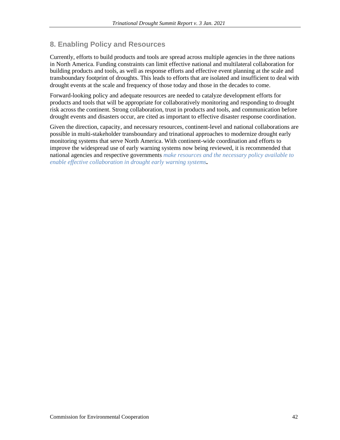## **8. Enabling Policy and Resources**

Currently, efforts to build products and tools are spread across multiple agencies in the three nations in North America. Funding constraints can limit effective national and multilateral collaboration for building products and tools, as well as response efforts and effective event planning at the scale and transboundary footprint of droughts. This leads to efforts that are isolated and insufficient to deal with drought events at the scale and frequency of those today and those in the decades to come.

Forward-looking policy and adequate resources are needed to catalyze development efforts for products and tools that will be appropriate for collaboratively monitoring and responding to drought risk across the continent. Strong collaboration, trust in products and tools, and communication before drought events and disasters occur, are cited as important to effective disaster response coordination.

Given the direction, capacity, and necessary resources, continent-level and national collaborations are possible in multi-stakeholder transboundary and trinational approaches to modernize drought early monitoring systems that serve North America. With continent-wide coordination and efforts to improve the widespread use of early warning systems now being reviewed, it is recommended that national agencies and respective governments *make resources and the necessary policy available to enable effective collaboration in drought early warning systems***.**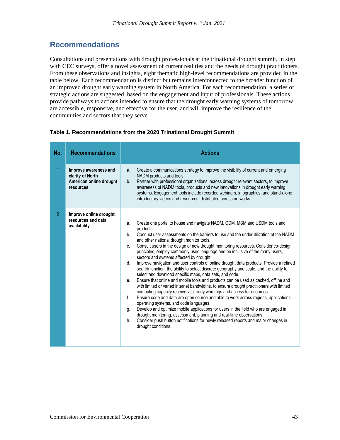## **Recommendations**

Consultations and presentations with drought professionals at the trinational drought summit, in step with CEC surveys, offer a novel assessment of current realities and the needs of drought practitioners. From these observations and insights, eight thematic high-level recommendations are provided in the table below. Each recommendation is distinct but remains interconnected to the broader function of an improved drought early warning system in North America. For each recommendation, a series of strategic actions are suggested, based on the engagement and input of professionals. These actions provide pathways to actions intended to ensure that the drought early warning systems of tomorrow are accessible, responsive, and effective for the user, and will improve the resilience of the communities and sectors that they serve.

#### **Table 1. Recommendations from the 2020 Trinational Drought Summit**

| No.            | <b>Recommendations</b>                                                            | <b>Actions</b>                                                                                                                                                                                                                                                                                                                                                                                                                                                                                                                                                                                                                                                                                                                                                                                                                                                                                                                                                                                                                                                                                                                                                                                                                                                                                                                                                                                                              |
|----------------|-----------------------------------------------------------------------------------|-----------------------------------------------------------------------------------------------------------------------------------------------------------------------------------------------------------------------------------------------------------------------------------------------------------------------------------------------------------------------------------------------------------------------------------------------------------------------------------------------------------------------------------------------------------------------------------------------------------------------------------------------------------------------------------------------------------------------------------------------------------------------------------------------------------------------------------------------------------------------------------------------------------------------------------------------------------------------------------------------------------------------------------------------------------------------------------------------------------------------------------------------------------------------------------------------------------------------------------------------------------------------------------------------------------------------------------------------------------------------------------------------------------------------------|
| $\overline{1}$ | Improve awareness and<br>clarity of North<br>American online drought<br>resources | Create a communications strategy to improve the visibility of current and emerging<br>a.<br>NADM products and tools.<br>Partner with professional organizations, across drought relevant sectors, to improve<br>$b_{1}$<br>awareness of NADM tools, products and new innovations in drought early warning<br>systems. Engagement tools include recorded webinars, infographics, and stand-alone<br>introductory videos and resources, distributed across networks.                                                                                                                                                                                                                                                                                                                                                                                                                                                                                                                                                                                                                                                                                                                                                                                                                                                                                                                                                          |
| $\overline{2}$ | Improve online drought<br>resources and data<br>availability                      | Create one portal to house and navigate NADM, CDM, MSM and USDM tools and<br>a.<br>products.<br>Conduct user assessments on the barriers to use and the underutilization of the NADM<br>b.<br>and other national drought monitor tools.<br>Consult users in the design of new drought monitoring resources. Consider co-design<br>C.<br>principles, employ commonly used language and be inclusive of the many users,<br>sectors and systems affected by drought.<br>Improve navigation and user controls of online drought data products. Provide a refined<br>d.<br>search function, the ability to select discrete geography and scale, and the ability to<br>select and download specific maps, data sets, and code.<br>Ensure that online and mobile tools and products can be used as cached, offline and<br>е.<br>with limited or varied internet bandwidths, to ensure drought practitioners with limited<br>computing capacity receive vital early warnings and access to resources.<br>f.<br>Ensure code and data are open source and able to work across regions, applications,<br>operating systems, and code languages.<br>Develop and optimize mobile applications for users in the field who are engaged in<br>g.<br>drought monitoring, assessment, planning and real-time observations.<br>Consider push button notifications for newly released reports and major changes in<br>h.<br>drought conditions. |